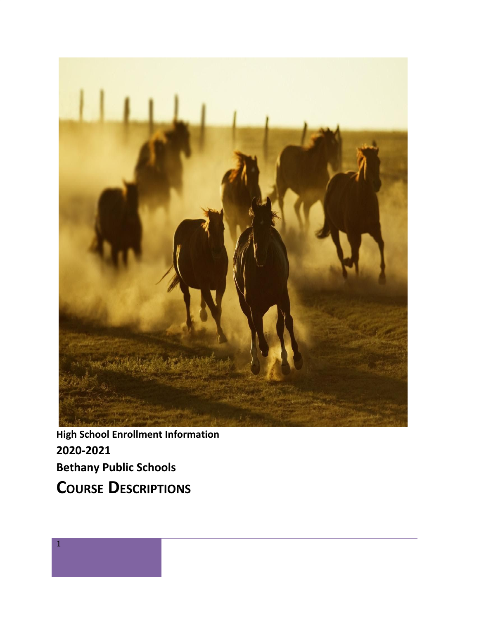

**High School Enrollment Information 2020-2021 Bethany Public Schools COURSE DESCRIPTIONS**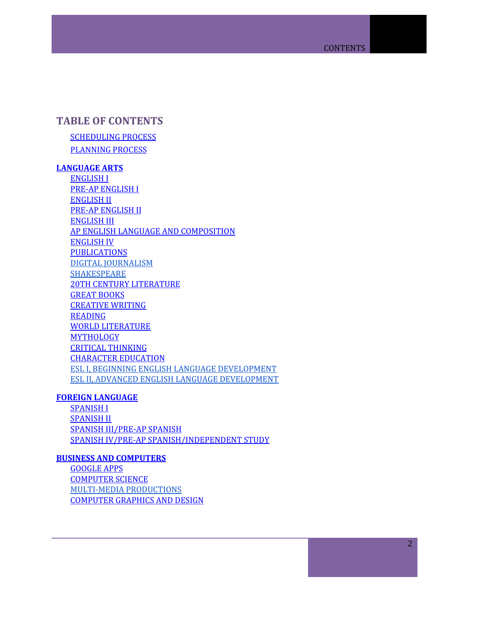# **TABLE OF CONTENT[S](#page-5-0)**

**[SCHEDULING](#page-5-0) PROCESS** [PLANNING](#page-5-1) PROCESS

# **[LANGUAGE](#page-6-0) ARTS**

[ENGLISH](#page-6-1) I PRE-AP [ENGLISH](#page-6-2) I [ENGLISH](#page-6-3) II PRE-AP [ENGLISH](#page-7-0) II [ENGLISH](#page-7-1) III AP ENGLISH LANGUAGE AND COMPOSITION [ENGLISH](#page-8-0) IV **[PUBLICATIONS](#page-8-1)** DIGITAL [JOURNALISM](#page-9-0) [SHAKESPEARE](#page-9-1) 20TH CENTURY [LITERATURE](#page-9-2) GREAT [BOOKS](#page-9-3) [CREATIVE](#page-10-0) WRITING [READING](#page-10-1) WORLD [LITERATURE](#page-10-2) [MYTHOLOGY](#page-10-3) CRITICAL [THINKING](#page-11-0) [CHARACTER](#page-11-1) EDUCATION ESL I, BEGINNING ENGLISH LANGUAGE [DEVELOPMENT](#page-11-2) ESL II, ADVANCED ENGLISH LANGUAGE [DEVELOPMENT](#page-11-3)

### **FOREIGN [LANGUAGE](#page-13-0)**

[SPANISH](#page-13-1) I [SPANISH](#page-13-2) II SPANISH [III/PRE-AP](#page-13-3) SPANISH SPANISH IV/PRE-AP [SPANISH/INDEPENDENT](#page-13-4) STUDY

### **BUSINESS AND [COMPUTERS](#page-15-0)**

[GOOGLE](#page-15-1) APPS [COMPUTER](#page-15-2) SCIENCE MULTI-MEDIA [PRODUCTIONS](#page-15-3) [COMPUTER](#page-9-0) GRAPHICS AND DESIGN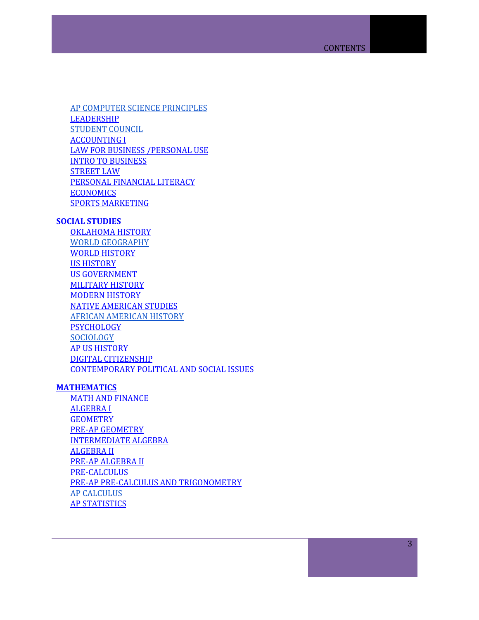AP COMPUTER SCIENCE [PRINCIPLES](#page-16-0) [LEADERSHIP](#page-16-1) [STUDENT](#page-16-2) COUNCIL [ACCOUNTING](#page-17-0) I LAW FOR BUSINESS [/PERSONAL](#page-17-1) USE INTRO TO [BUSINESS](#page-17-2) [STREET](#page-17-3) LAW PERSONAL [FINANCIAL](#page-18-0) LITERACY [ECONOMICS](#page-18-1) SPORTS [MARKETING](#page-18-2)

### **SOCIAL [STUDIES](#page-19-0)**

[OKLAHOMA](#page-19-1) HISTORY WORLD [GEOGRAPHY](#page-19-2) WORLD [HISTORY](#page-19-3) US [HISTORY](#page-19-4) US GOVERNMENT [MILITARY](#page-20-0) HISTORY [MODERN](#page-20-1) HISTORY NATIVE [AMERICAN](#page-21-0) STUDIES AFRICAN [AMERICAN](#page-21-1) HISTORY **[PSYCHOLOGY](#page-21-2) [SOCIOLOGY](#page-22-0)** AP US [HISTORY](#page-20-2) DIGITAL [CITIZENSHIP](#page-22-1) [CONTEMPORARY](#page-22-2) POLITICAL AND SOCIAL ISSUES

### **[MATHEMATICS](#page-23-0)**

MATH AND [FINANCE](#page-23-1) [ALGEBRA](#page-23-2) I **[GEOMETRY](#page-23-3)** PRE-AP [GEOMETRY](#page-23-4) [INTERMEDIATE](#page-24-0) ALGEBRA [ALGEBRA](#page-24-1) II PRE-AP [ALGEBRA](#page-25-0) II [PRE-CALCULUS](#page-25-1) PRE-AP PRE-CALCULUS AND [TRIGONOMETRY](#page-25-2) AP [CALCULUS](#page-26-0) AP [STATISTICS](#page-26-1)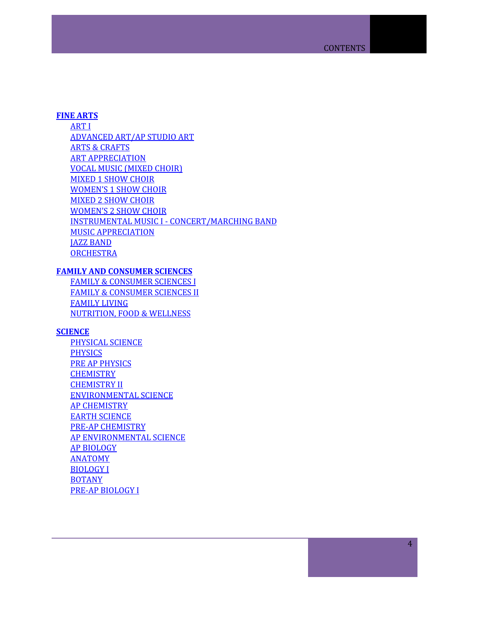### **FINE [ARTS](#page-27-0)**

[ART](#page-27-1) I [ADVANCED](#page-27-2) ART/AP STUDIO ART ARTS & [CRAFTS](#page-27-3) ART [APPRECIATION](#page-28-0) VOCAL MUSIC [\(MIXED](#page-28-1) CHOIR) [MIXED](#page-28-2) 1 SHOW CHOIR [WOMEN'S](#page-28-3) 1 SHOW CHOIR [MIXED](#page-29-0) 2 SHOW CHOIR [WOMEN'S](#page-29-1) 2 SHOW CHOIR INSTRUMENTAL MUSIC I - [CONCERT/MARCHING](#page-29-2) BAND MUSIC [APPRECIATION](#page-30-0) JAZZ [BAND](#page-30-1) **[ORCHESTRA](#page-31-0)** 

## **FAMILY AND [CONSUMER](#page-32-0) SCIENCES**

FAMILY & [CONSUMER](#page-32-1) SCIENCES I FAMILY & [CONSUMER](#page-32-2) SCIENCES II [FAMILY](#page-32-3) LIVING [NUTRITION,](#page-33-0) FOOD & WELLNESS

### **[SCIENCE](#page-34-0)**

[PHYSICAL](#page-34-1) SCIENCE [PHYSICS](#page-34-2) PRE AP [PHYSICS](#page-34-3) **[CHEMISTRY](#page-34-4)** [CHEMISTRY](#page-35-0) II [ENVIRONMENTAL](#page-35-1) SCIENCE AP [CHEMISTRY](#page-35-2) EARTH [SCIENCE](#page-36-0) PRE-AP [CHEMISTRY](#page-36-1) AP [ENVIRONMENTAL](#page-36-2) SCIENCE AP [BIOLOGY](#page-37-0) [ANATOMY](#page-37-1) [BIOLOGY](#page-37-2) I [BOTANY](#page-37-3) PRE-AP [BIOLOGY](#page-38-0) I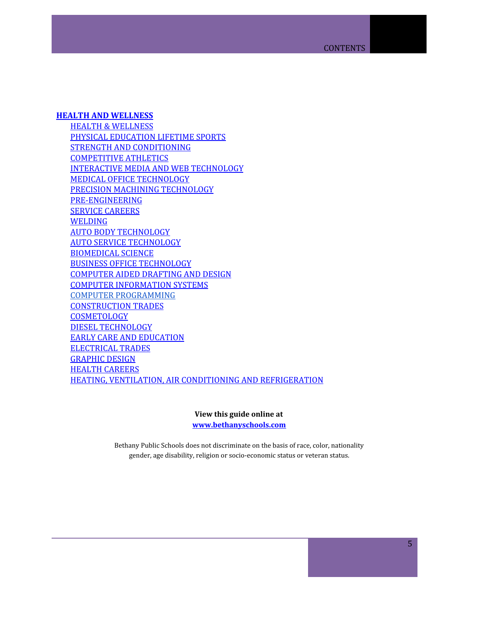### **HEALTH AND [WELLNESS](#page-39-0)**

HEALTH & [WELLNESS](#page-39-1) PHYSICAL [EDUCATION](#page-39-2) LIFETIME SPORTS STRENGTH AND [CONDITIONING](#page-39-3) [COMPETITIVE](#page-40-0) ATHLETICS INTERACTIVE MEDIA AND WEB [TECHNOLOGY](#page-42-0) MEDICAL OFFICE [TECHNOLOGY](#page-42-1) PRECISION MACHINING [TECHNOLOGY](#page-42-2) [PRE-ENGINEERING](#page-43-0) SERVICE [CAREERS](#page-43-1) **[WELDING](#page-43-2)** AUTO BODY [TECHNOLOGY](#page-44-0) AUTO SERVICE [TECHNOLOGY](#page-44-1) **[BIOMEDICAL](#page-44-2) SCIENCE** BUSINESS OFFICE [TECHNOLOGY](#page-45-0) [COMPUTER](#page-45-1) AIDED DRAFTING AND DESIGN COMPUTER [INFORMATION](#page-45-2) SYSTEMS COMPUTER [PROGRAMMING](#page-46-0) [CONSTRUCTION](#page-46-1) TRADES **[COSMETOLOGY](#page-46-2)** DIESEL [TECHNOLOGY](#page-47-0) EARLY CARE AND [EDUCATION](#page-47-1) [ELECTRICAL](#page-47-2) TRADES [GRAPHIC](#page-48-0) DESIGN HEALTH [CAREERS](#page-48-1) HEATING, VENTILATION, AIR CONDITIONING AND [REFRIGERATION](#page-48-2)

> **View this guide online at [www.bethanyschools.com](http://www.bethanyschools.com/)**

Bethany Public Schools does not discriminate on the basis of race, color, nationality gender, age disability, religion or socio-economic status or veteran status.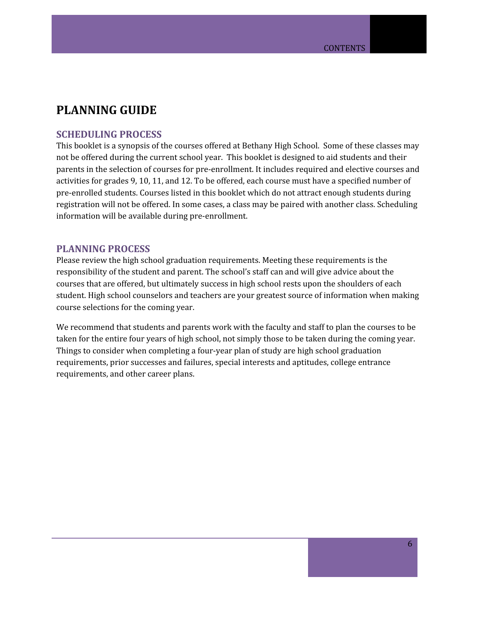# **PLANNING GUIDE**

## <span id="page-5-0"></span>**SCHEDULING PROCESS**

This booklet is a synopsis of the courses offered at Bethany High School. Some of these classes may not be offered during the current school year. This booklet is designed to aid students and their parents in the selection of courses for pre-enrollment. It includes required and elective courses and activities for grades 9, 10, 11, and 12. To be offered, each course must have a specified number of pre-enrolled students. Courses listed in this booklet which do not attract enough students during registration will not be offered. In some cases, a class may be paired with another class. Scheduling information will be available during pre-enrollment.

### <span id="page-5-1"></span>**PLANNING PROCESS**

Please review the high school graduation requirements. Meeting these requirements is the responsibility of the student and parent. The school's staff can and will give advice about the courses that are offered, but ultimately success in high school rests upon the shoulders of each student. High school counselors and teachers are your greatest source of information when making course selections for the coming year.

We recommend that students and parents work with the faculty and staff to plan the courses to be taken for the entire four years of high school, not simply those to be taken during the coming year. Things to consider when completing a four-year plan of study are high school graduation requirements, prior successes and failures, special interests and aptitudes, college entrance requirements, and other career plans.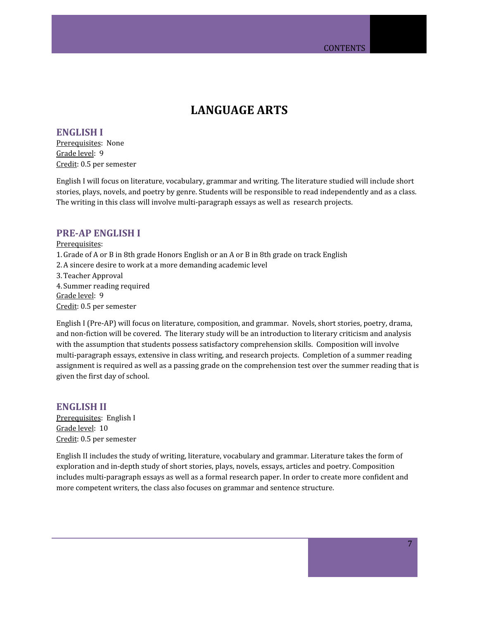# **LANGUAGE ARTS**

<span id="page-6-1"></span><span id="page-6-0"></span>**ENGLISH I** Prerequisites: None Grade level: 9 Credit: 0.5 per semester

English I will focus on literature, vocabulary, grammar and writing. The literature studied will include short stories, plays, novels, and poetry by genre. Students will be responsible to read independently and as a class. The writing in this class will involve multi-paragraph essays as well as research projects.

### <span id="page-6-2"></span>**PRE-AP ENGLISH I**

Prerequisites: 1.Grade of A or B in 8th grade Honors English or an A or B in 8th grade on track English 2.A sincere desire to work at a more demanding academic level 3.Teacher Approval 4. Summer reading required Grade level: 9 Credit: 0.5 per semester

English I (Pre-AP) will focus on literature, composition, and grammar. Novels, short stories, poetry, drama, and non-fiction will be covered. The literary study will be an introduction to literary criticism and analysis with the assumption that students possess satisfactory comprehension skills. Composition will involve multi-paragraph essays, extensive in class writing, and research projects. Completion of a summer reading assignment is required as well as a passing grade on the comprehension test over the summer reading that is given the first day of school.

<span id="page-6-3"></span>**ENGLISH II** Prerequisites: English I Grade level: 10 Credit: 0.5 per semester

English II includes the study of writing, literature, vocabulary and grammar. Literature takes the form of exploration and in-depth study of short stories, plays, novels, essays, articles and poetry. Composition includes multi-paragraph essays as well as a formal research paper. In order to create more confident and more competent writers, the class also focuses on grammar and sentence structure.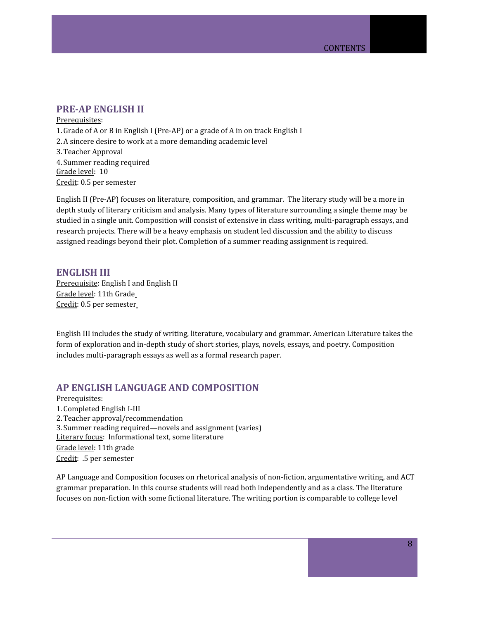# <span id="page-7-0"></span>**PRE-AP ENGLISH II**

Prerequisites: 1.Grade of A or B in English I (Pre-AP) or a grade of A in on track English I 2.A sincere desire to work at a more demanding academic level 3.Teacher Approval 4. Summer reading required Grade level: 10 Credit: 0.5 per semester

English II (Pre-AP) focuses on literature, composition, and grammar. The literary study will be a more in depth study of literary criticism and analysis. Many types of literature surrounding a single theme may be studied in a single unit. Composition will consist of extensive in class writing, multi-paragraph essays, and research projects. There will be a heavy emphasis on student led discussion and the ability to discuss assigned readings beyond their plot. Completion of a summer reading assignment is required.

### <span id="page-7-1"></span>**ENGLISH III**

Prerequisite: English I and English II Grade level: 11th Grade Credit: 0.5 per semester

English III includes the study of writing, literature, vocabulary and grammar. American Literature takes the form of exploration and in-depth study of short stories, plays, novels, essays, and poetry. Composition includes multi-paragraph essays as well as a formal research paper.

# **AP ENGLISH LANGUAGE AND COMPOSITION**

Prerequisites:

1. Completed English I-III 2.Teacher approval/recommendation 3. Summer reading required—novels and assignment (varies) Literary focus: Informational text, some literature Grade level: 11th grade Credit: .5 per semester

AP Language and Composition focuses on rhetorical analysis of non-fiction, argumentative writing, and ACT grammar preparation. In this course students will read both independently and as a class. The literature focuses on non-fiction with some fictional literature. The writing portion is comparable to college level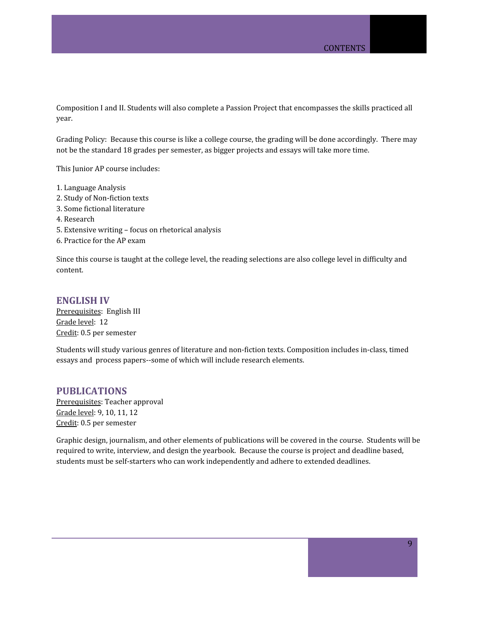Composition I and II. Students will also complete a Passion Project that encompasses the skills practiced all year.

Grading Policy: Because this course is like a college course, the grading will be done accordingly. There may not be the standard 18 grades per semester, as bigger projects and essays will take more time.

This Junior AP course includes:

- 1. Language Analysis
- 2. Study of Non-fiction texts
- 3. Some fictional literature
- 4. Research
- 5. Extensive writing focus on rhetorical analysis
- 6. Practice for the AP exam

Since this course is taught at the college level, the reading selections are also college level in difficulty and content.

### <span id="page-8-0"></span>**ENGLISH IV**

Prerequisites: English III Grade level: 12 Credit: 0.5 per semester

Students will study various genres of literature and non-fiction texts. Composition includes in-class, timed essays and process papers--some of which will include research elements.

### <span id="page-8-1"></span>**PUBLICATIONS**

Prerequisites: Teacher approval Grade level: 9, 10, 11, 12 Credit: 0.5 per semester

Graphic design, journalism, and other elements of publications will be covered in the course. Students will be required to write, interview, and design the yearbook. Because the course is project and deadline based, students must be self-starters who can work independently and adhere to extended deadlines.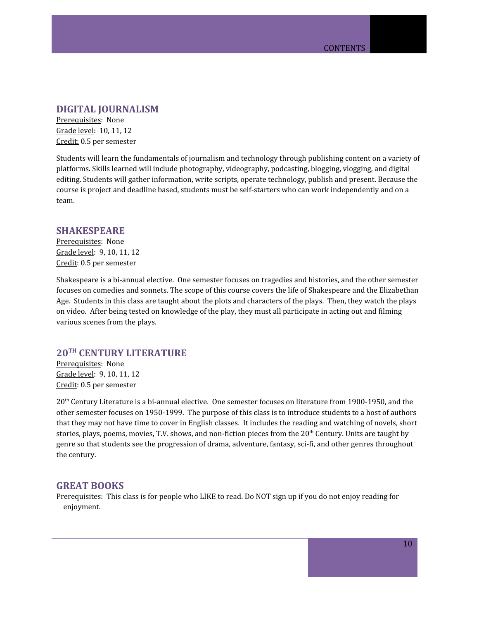### <span id="page-9-0"></span>**DIGITAL JOURNALISM**

Prerequisites: None Grade level: 10, 11, 12 Credit: 0.5 per semester

Students will learn the fundamentals of journalism and technology through publishing content on a variety of platforms. Skills learned will include photography, videography, podcasting, blogging, vlogging, and digital editing. Students will gather information, write scripts, operate technology, publish and present. Because the course is project and deadline based, students must be self-starters who can work independently and on a team.

#### <span id="page-9-1"></span>**SHAKESPEARE**

Prerequisites: None Grade level: 9, 10, 11, 12 Credit: 0.5 per semester

Shakespeare is a bi-annual elective. One semester focuses on tragedies and histories, and the other semester focuses on comedies and sonnets. The scope of this course covers the life of Shakespeare and the Elizabethan Age. Students in this class are taught about the plots and characters of the plays. Then, they watch the plays on video. After being tested on knowledge of the play, they must all participate in acting out and filming various scenes from the plays.

# <span id="page-9-2"></span>**20 TH CENTURY LITERATURE**

Prerequisites: None Grade level: 9, 10, 11, 12 Credit: 0.5 per semester

20<sup>th</sup> Century Literature is a bi-annual elective. One semester focuses on literature from 1900-1950, and the other semester focuses on 1950-1999. The purpose of this class is to introduce students to a host of authors that they may not have time to cover in English classes. It includes the reading and watching of novels, short stories, plays, poems, movies, T.V. shows, and non-fiction pieces from the 20<sup>th</sup> Century. Units are taught by genre so that students see the progression of drama, adventure, fantasy, sci-fi, and other genres throughout the century.

### <span id="page-9-3"></span>**GREAT BOOKS**

Prerequisites: This class is for people who LIKE to read. Do NOT sign up if you do not enjoy reading for enjoyment.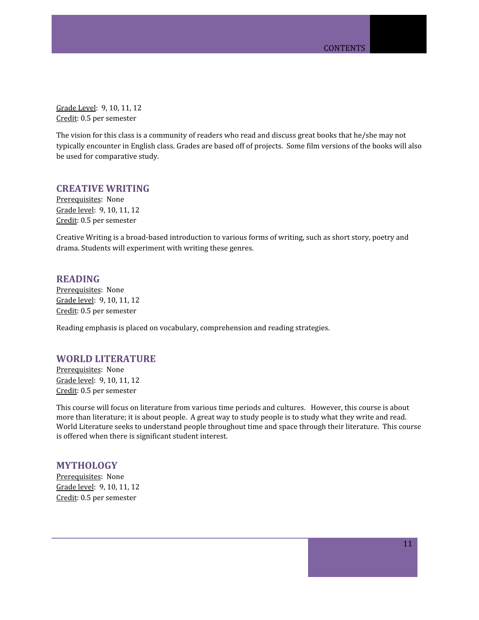Grade Level: 9, 10, 11, 12 Credit: 0.5 per semester

The vision for this class is a community of readers who read and discuss great books that he/she may not typically encounter in English class. Grades are based off of projects. Some film versions of the books will also be used for comparative study.

### <span id="page-10-0"></span>**CREATIVE WRITING**

Prerequisites: None Grade level: 9, 10, 11, 12 Credit: 0.5 per semester

Creative Writing is a broad-based introduction to various forms of writing, such as short story, poetry and drama. Students will experiment with writing these genres.

### <span id="page-10-1"></span>**READING**

Prerequisites: None Grade level: 9, 10, 11, 12 Credit: 0.5 per semester

Reading emphasis is placed on vocabulary, comprehension and reading strategies.

## <span id="page-10-2"></span>**WORLD LITERATURE**

Prerequisites: None Grade level: 9, 10, 11, 12 Credit: 0.5 per semester

This course will focus on literature from various time periods and cultures. However, this course is about more than literature; it is about people. A great way to study people is to study what they write and read. World Literature seeks to understand people throughout time and space through their literature. This course is offered when there is significant student interest.

### <span id="page-10-3"></span>**MYTHOLOGY**

Prerequisites: None Grade level: 9, 10, 11, 12 Credit: 0.5 per semester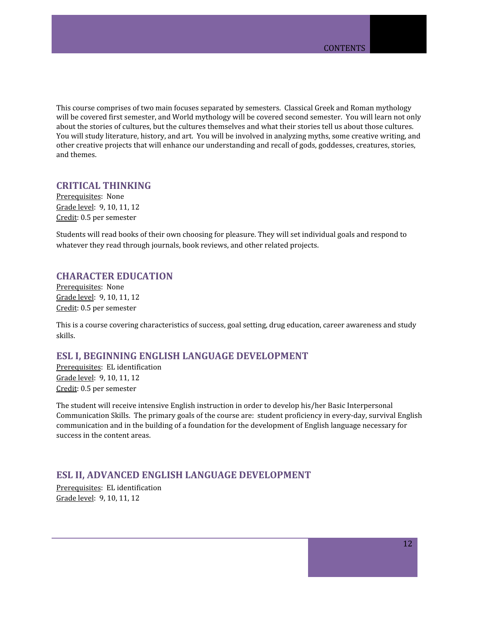This course comprises of two main focuses separated by semesters. Classical Greek and Roman mythology will be covered first semester, and World mythology will be covered second semester. You will learn not only about the stories of cultures, but the cultures themselves and what their stories tell us about those cultures. You will study literature, history, and art. You will be involved in analyzing myths, some creative writing, and other creative projects that will enhance our understanding and recall of gods, goddesses, creatures, stories, and themes.

# <span id="page-11-0"></span>**CRITICAL THINKING**

Prerequisites: None Grade level: 9, 10, 11, 12 Credit: 0.5 per semester

Students will read books of their own choosing for pleasure. They will set individual goals and respond to whatever they read through journals, book reviews, and other related projects.

## <span id="page-11-1"></span>**CHARACTER EDUCATION**

Prerequisites: None Grade level: 9, 10, 11, 12 Credit: 0.5 per semester

This is a course covering characteristics of success, goal setting, drug education, career awareness and study skills.

## <span id="page-11-2"></span>**ESL I, BEGINNING ENGLISH LANGUAGE DEVELOPMENT**

Prerequisites: EL identification Grade level: 9, 10, 11, 12 Credit: 0.5 per semester

The student will receive intensive English instruction in order to develop his/her Basic Interpersonal Communication Skills. The primary goals of the course are: student proficiency in every-day, survival English communication and in the building of a foundation for the development of English language necessary for success in the content areas.

# <span id="page-11-3"></span>**ESL II, ADVANCED ENGLISH LANGUAGE DEVELOPMENT**

Prerequisites: EL identification Grade level: 9, 10, 11, 12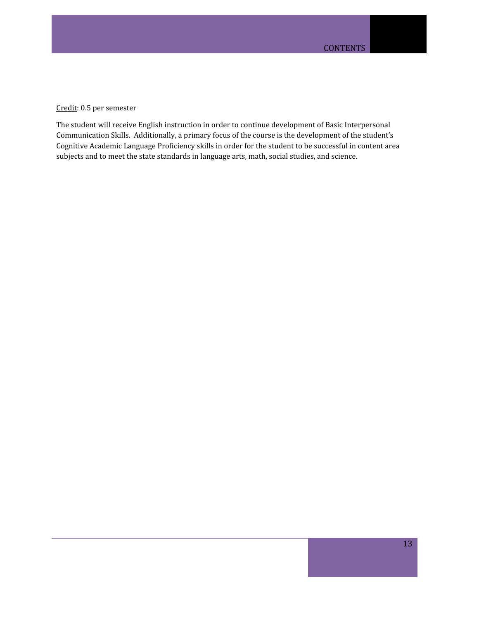Credit: 0.5 per semester

The student will receive English instruction in order to continue development of Basic Interpersonal Communication Skills. Additionally, a primary focus of the course is the development of the student's Cognitive Academic Language Proficiency skills in order for the student to be successful in content area subjects and to meet the state standards in language arts, math, social studies, and science.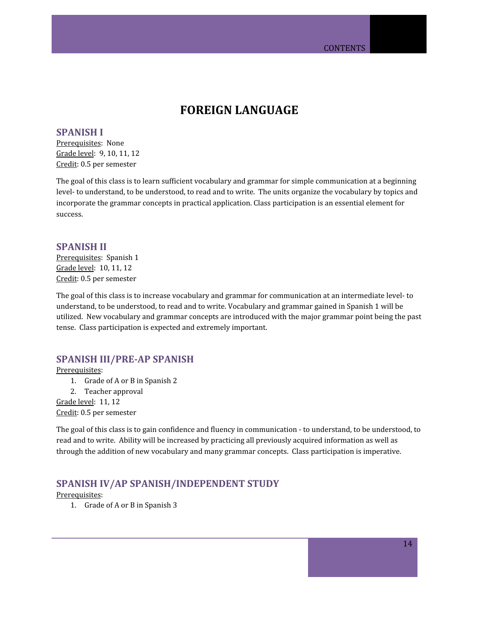# **FOREIGN LANGUAGE**

### <span id="page-13-1"></span><span id="page-13-0"></span>**SPANISH I**

Prerequisites: None Grade level: 9, 10, 11, 12 Credit: 0.5 per semester

The goal of this class is to learn sufficient vocabulary and grammar for simple communication at a beginning level- to understand, to be understood, to read and to write. The units organize the vocabulary by topics and incorporate the grammar concepts in practical application. Class participation is an essential element for success.

## <span id="page-13-2"></span>**SPANISH II**

Prerequisites: Spanish 1 Grade level: 10, 11, 12 Credit: 0.5 per semester

The goal of this class is to increase vocabulary and grammar for communication at an intermediate level- to understand, to be understood, to read and to write. Vocabulary and grammar gained in Spanish 1 will be utilized. New vocabulary and grammar concepts are introduced with the major grammar point being the past tense. Class participation is expected and extremely important.

# <span id="page-13-3"></span>**SPANISH III/PRE-AP SPANISH**

Prerequisites:

- 1. Grade of A or B in Spanish 2
- 2. Teacher approval

Grade level: 11, 12 Credit: 0.5 per semester

The goal of this class is to gain confidence and fluency in communication - to understand, to be understood, to read and to write. Ability will be increased by practicing all previously acquired information as well as through the addition of new vocabulary and many grammar concepts. Class participation is imperative.

# <span id="page-13-4"></span>**SPANISH IV/AP SPANISH/INDEPENDENT STUDY**

Prerequisites:

1. Grade of A or B in Spanish 3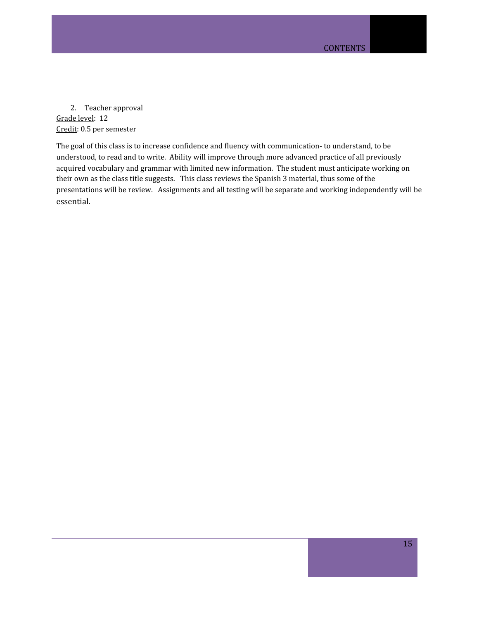2. Teacher approval Grade level: 12 Credit: 0.5 per semester

The goal of this class is to increase confidence and fluency with communication- to understand, to be understood, to read and to write. Ability will improve through more advanced practice of all previously acquired vocabulary and grammar with limited new information. The student must anticipate working on their own as the class title suggests. This class reviews the Spanish 3 material, thus some of the presentations will be review. Assignments and all testing will be separate and working independently will be essential.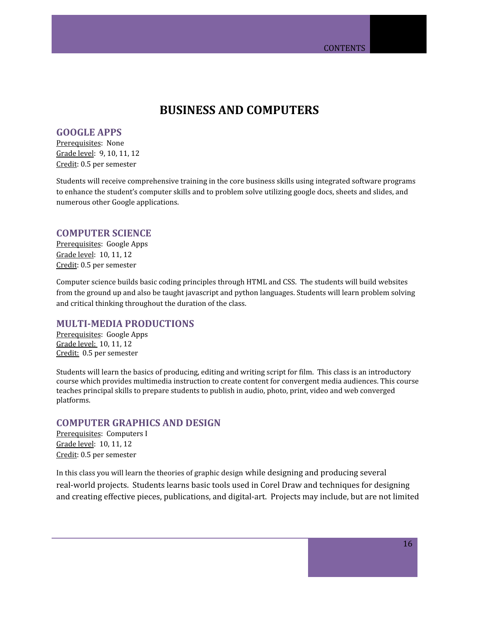# **BUSINESS AND COMPUTERS**

## <span id="page-15-1"></span><span id="page-15-0"></span>**GOOGLE APPS**

Prerequisites: None Grade level: 9, 10, 11, 12 Credit: 0.5 per semester

Students will receive comprehensive training in the core business skills using integrated software programs to enhance the student's computer skills and to problem solve utilizing google docs, sheets and slides, and numerous other Google applications.

### <span id="page-15-2"></span>**COMPUTER SCIENCE**

Prerequisites: Google Apps Grade level: 10, 11, 12 Credit: 0.5 per semester

Computer science builds basic coding principles through HTML and CSS. The students will build websites from the ground up and also be taught javascript and python languages. Students will learn problem solving and critical thinking throughout the duration of the class.

### <span id="page-15-3"></span>**MULTI-MEDIA PRODUCTIONS**

Prerequisites: Google Apps Grade level: 10, 11, 12 Credit: 0.5 per semester

Students will learn the basics of producing, editing and writing script for film. This class is an introductory course which provides multimedia instruction to create content for convergent media audiences. This course teaches principal skills to prepare students to publish in audio, photo, print, video and web converged platforms.

# **COMPUTER GRAPHICS AND DESIGN**

Prerequisites: Computers I Grade level: 10, 11, 12 Credit: 0.5 per semester

In this class you will learn the theories of graphic design while designing and producing several real-world projects. Students learns basic tools used in Corel Draw and techniques for designing and creating effective pieces, publications, and digital-art. Projects may include, but are not limited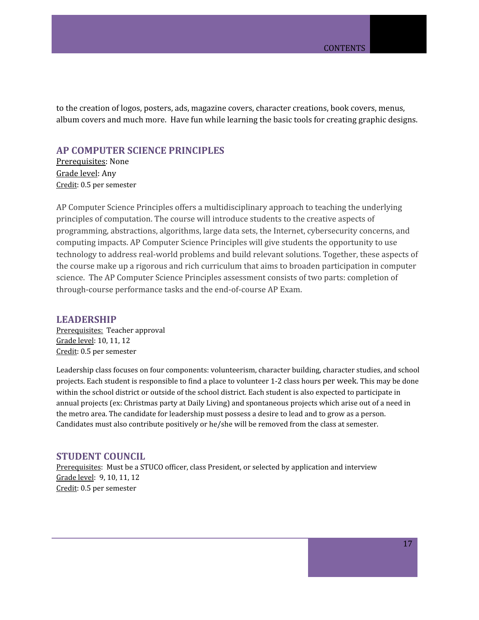to the creation of logos, posters, ads, magazine covers, character creations, book covers, menus, album covers and much more. Have fun while learning the basic tools for creating graphic designs.

# <span id="page-16-0"></span>**AP COMPUTER SCIENCE PRINCIPLES**

Prerequisites: None Grade level: Any Credit: 0.5 per semester

AP Computer Science Principles offers a multidisciplinary approach to teaching the underlying principles of computation. The course will introduce students to the creative aspects of programming, abstractions, algorithms, large data sets, the Internet, cybersecurity concerns, and computing impacts. AP Computer Science Principles will give students the opportunity to use technology to address real-world problems and build relevant solutions. Together, these aspects of the course make up a rigorous and rich curriculum that aims to broaden participation in computer science. The AP Computer Science Principles assessment consists of two parts: completion of through-course performance tasks and the end-of-course AP Exam.

### <span id="page-16-1"></span>**LEADERSHIP**

Prerequisites: Teacher approval Grade level: 10, 11, 12 Credit: 0.5 per semester

Leadership class focuses on four components: volunteerism, character building, character studies, and school projects. Each student is responsible to find a place to volunteer 1-2 class hours per week. This may be done within the school district or outside of the school district. Each student is also expected to participate in annual projects (ex: Christmas party at Daily Living) and spontaneous projects which arise out of a need in the metro area. The candidate for leadership must possess a desire to lead and to grow as a person. Candidates must also contribute positively or he/she will be removed from the class at semester.

### <span id="page-16-2"></span>**STUDENT COUNCIL**

Prerequisites: Must be a STUCO officer, class President, or selected by application and interview Grade level: 9, 10, 11, 12 Credit: 0.5 per semester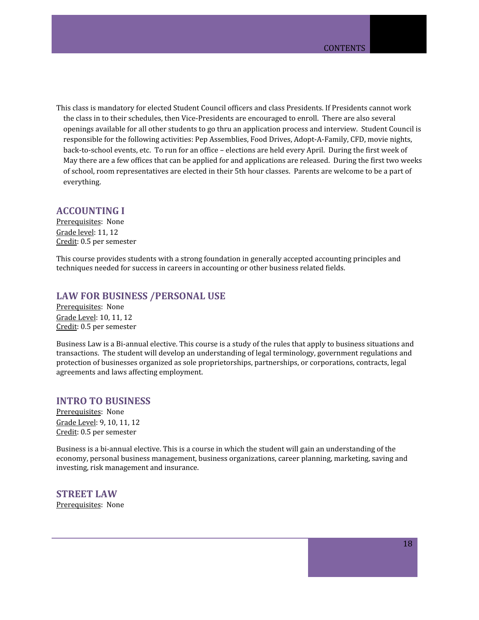This class is mandatory for elected Student Council officers and class Presidents. If Presidents cannot work the class in to their schedules, then Vice-Presidents are encouraged to enroll. There are also several openings available for all other students to go thru an application process and interview. Student Council is responsible for the following activities: Pep Assemblies, Food Drives, Adopt-A-Family, CFD, movie nights, back-to-school events, etc. To run for an office – elections are held every April. During the first week of May there are a few offices that can be applied for and applications are released. During the first two weeks of school, room representatives are elected in their 5th hour classes. Parents are welcome to be a part of everything.

### <span id="page-17-0"></span>**ACCOUNTING I**

Prerequisites: None Grade level: 11, 12 Credit: 0.5 per semester

This course provides students with a strong foundation in generally accepted accounting principles and techniques needed for success in careers in accounting or other business related fields.

### <span id="page-17-1"></span>**LAW FOR BUSINESS /PERSONAL USE**

Prerequisites: None Grade Level: 10, 11, 12 Credit: 0.5 per semester

Business Law is a Bi-annual elective. This course is a study of the rules that apply to business situations and transactions. The student will develop an understanding of legal terminology, government regulations and protection of businesses organized as sole proprietorships, partnerships, or corporations, contracts, legal agreements and laws affecting employment.

# <span id="page-17-2"></span>**INTRO TO BUSINESS**

Prerequisites: None Grade Level: 9, 10, 11, 12 Credit: 0.5 per semester

Business is a bi-annual elective. This is a course in which the student will gain an understanding of the economy, personal business management, business organizations, career planning, marketing, saving and investing, risk management and insurance.

<span id="page-17-3"></span>**STREET LAW** Prerequisites: None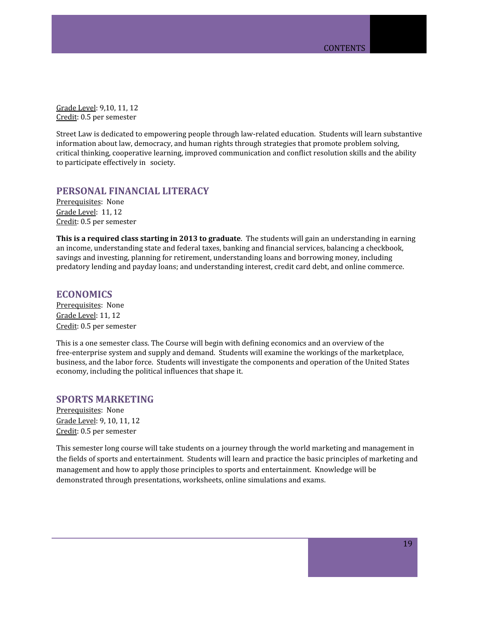Grade Level: 9,10, 11, 12 Credit: 0.5 per semester

Street Law is dedicated to empowering people through law-related education. Students will learn substantive information about law, democracy, and human rights through strategies that promote problem solving, critical thinking, cooperative learning, improved communication and conflict resolution skills and the ability to participate effectively in society.

# <span id="page-18-0"></span>**PERSONAL FINANCIAL LITERACY**

Prerequisites: None Grade Level: 11, 12 Credit: 0.5 per semester

**This is a required class starting in 2013 to graduate**. The students will gain an understanding in earning an income, understanding state and federal taxes, banking and financial services, balancing a checkbook, savings and investing, planning for retirement, understanding loans and borrowing money, including predatory lending and payday loans; and understanding interest, credit card debt, and online commerce.

### <span id="page-18-1"></span>**ECONOMICS**

Prerequisites: None Grade Level: 11, 12 Credit: 0.5 per semester

This is a one semester class. The Course will begin with defining economics and an overview of the free-enterprise system and supply and demand. Students will examine the workings of the marketplace, business, and the labor force. Students will investigate the components and operation of the United States economy, including the political influences that shape it.

### <span id="page-18-2"></span>**SPORTS MARKETING**

Prerequisites: None Grade Level: 9, 10, 11, 12 Credit: 0.5 per semester

This semester long course will take students on a journey through the world marketing and management in the fields of sports and entertainment. Students will learn and practice the basic principles of marketing and management and how to apply those principles to sports and entertainment. Knowledge will be demonstrated through presentations, worksheets, online simulations and exams.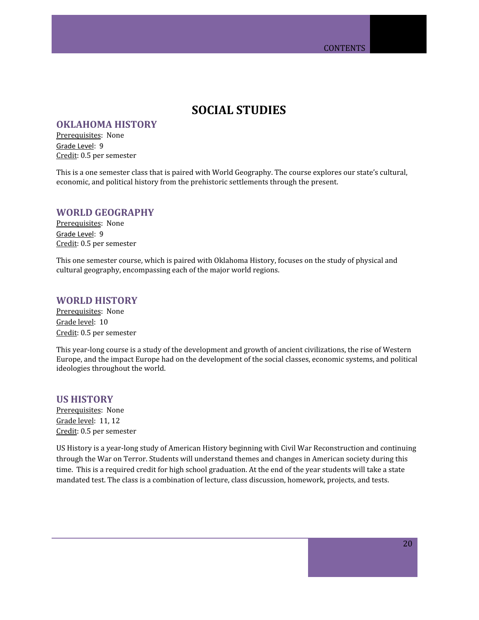# **SOCIAL STUDIES**

## <span id="page-19-1"></span><span id="page-19-0"></span>**OKLAHOMA HISTORY**

Prerequisites: None Grade Level: 9 Credit: 0.5 per semester

This is a one semester class that is paired with World Geography. The course explores our state's cultural, economic, and political history from the prehistoric settlements through the present.

### <span id="page-19-2"></span>**WORLD GEOGRAPHY**

Prerequisites: None Grade Level: 9 Credit: 0.5 per semester

This one semester course, which is paired with Oklahoma History, focuses on the study of physical and cultural geography, encompassing each of the major world regions.

## <span id="page-19-3"></span>**WORLD HISTORY**

Prerequisites: None Grade level: 10 Credit: 0.5 per semester

This year-long course is a study of the development and growth of ancient civilizations, the rise of Western Europe, and the impact Europe had on the development of the social classes, economic systems, and political ideologies throughout the world.

### <span id="page-19-4"></span>**US HISTORY**

Prerequisites: None Grade level: 11, 12 Credit: 0.5 per semester

US History is a year-long study of American History beginning with Civil War Reconstruction and continuing through the War on Terror. Students will understand themes and changes in American society during this time. This is a required credit for high school graduation. At the end of the year students will take a state mandated test. The class is a combination of lecture, class discussion, homework, projects, and tests.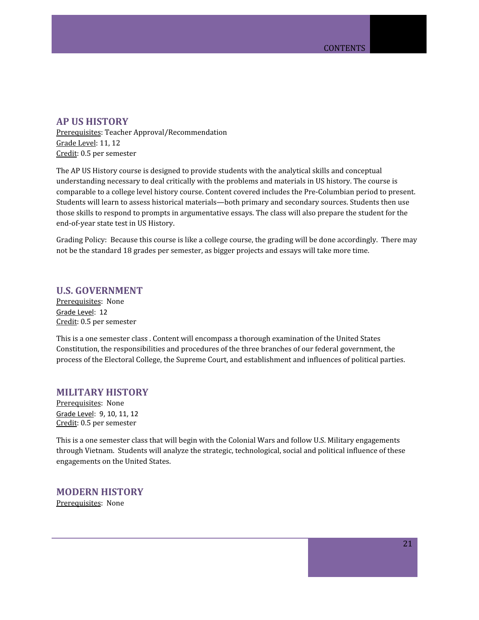### <span id="page-20-2"></span>**AP US HISTORY**

Prerequisites: Teacher Approval/Recommendation Grade Level: 11, 12 Credit: 0.5 per semester

The AP US History course is designed to provide students with the analytical skills and conceptual understanding necessary to deal critically with the problems and materials in US history. The course is comparable to a college level history course. Content covered includes the Pre-Columbian period to present. Students will learn to assess historical materials—both primary and secondary sources. Students then use those skills to respond to prompts in argumentative essays. The class will also prepare the student for the end-of-year state test in US History.

Grading Policy: Because this course is like a college course, the grading will be done accordingly. There may not be the standard 18 grades per semester, as bigger projects and essays will take more time.

### **U.S. GOVERNMENT**

Prerequisites: None Grade Level: 12 Credit: 0.5 per semester

This is a one semester class . Content will encompass a thorough examination of the United States Constitution, the responsibilities and procedures of the three branches of our federal government, the process of the Electoral College, the Supreme Court, and establishment and influences of political parties.

## <span id="page-20-0"></span>**MILITARY HISTORY**

Prerequisites: None Grade Level: 9, 10, 11, 12 Credit: 0.5 per semester

This is a one semester class that will begin with the Colonial Wars and follow U.S. Military engagements through Vietnam. Students will analyze the strategic, technological, social and political influence of these engagements on the United States.

# <span id="page-20-1"></span>**MODERN HISTORY**

Prerequisites: None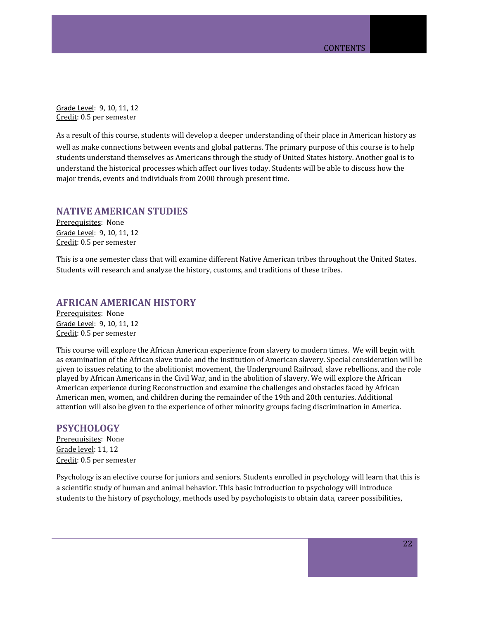Grade Level: 9, 10, 11, 12 Credit: 0.5 per semester

As a result of this course, students will develop a deeper understanding of their place in American history as well as make connections between events and global patterns. The primary purpose of this course is to help students understand themselves as Americans through the study of United States history. Another goal is to understand the historical processes which affect our lives today. Students will be able to discuss how the major trends, events and individuals from 2000 through present time.

## <span id="page-21-0"></span>**NATIVE AMERICAN STUDIES**

Prerequisites: None Grade Level: 9, 10, 11, 12 Credit: 0.5 per semester

This is a one semester class that will examine different Native American tribes throughout the United States. Students will research and analyze the history, customs, and traditions of these tribes.

# <span id="page-21-1"></span>**AFRICAN AMERICAN HISTORY**

Prerequisites: None Grade Level: 9, 10, 11, 12 Credit: 0.5 per semester

This course will explore the African American experience from slavery to modern times. We will begin with as examination of the African slave trade and the institution of American slavery. Special consideration will be given to issues relating to the abolitionist movement, the Underground Railroad, slave rebellions, and the role played by African Americans in the Civil War, and in the abolition of slavery. We will explore the African American experience during Reconstruction and examine the challenges and obstacles faced by African American men, women, and children during the remainder of the 19th and 20th centuries. Additional attention will also be given to the experience of other minority groups facing discrimination in America.

### <span id="page-21-2"></span>**PSYCHOLOGY**

Prerequisites: None Grade level: 11, 12 Credit: 0.5 per semester

Psychology is an elective course for juniors and seniors. Students enrolled in psychology will learn that this is a scientific study of human and animal behavior. This basic introduction to psychology will introduce students to the history of psychology, methods used by psychologists to obtain data, career possibilities,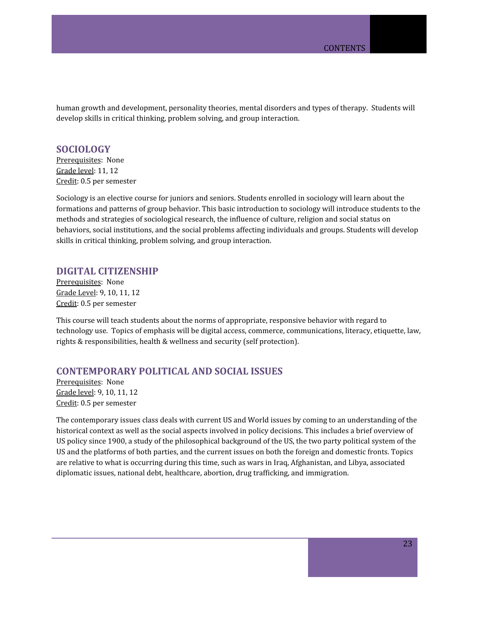human growth and development, personality theories, mental disorders and types of therapy. Students will develop skills in critical thinking, problem solving, and group interaction.

# <span id="page-22-0"></span>**SOCIOLOGY**

Prerequisites: None Grade level: 11, 12 Credit: 0.5 per semester

Sociology is an elective course for juniors and seniors. Students enrolled in sociology will learn about the formations and patterns of group behavior. This basic introduction to sociology will introduce students to the methods and strategies of sociological research, the influence of culture, religion and social status on behaviors, social institutions, and the social problems affecting individuals and groups. Students will develop skills in critical thinking, problem solving, and group interaction.

### <span id="page-22-1"></span>**DIGITAL CITIZENSHIP**

Prerequisites: None Grade Level: 9, 10, 11, 12 Credit: 0.5 per semester

This course will teach students about the norms of appropriate, responsive behavior with regard to technology use. Topics of emphasis will be digital access, commerce, communications, literacy, etiquette, law, rights & responsibilities, health & wellness and security (self protection).

# <span id="page-22-2"></span>**CONTEMPORARY POLITICAL AND SOCIAL ISSUES**

Prerequisites: None Grade level: 9, 10, 11, 12 Credit: 0.5 per semester

The contemporary issues class deals with current US and World issues by coming to an understanding of the historical context as well as the social aspects involved in policy decisions. This includes a brief overview of US policy since 1900, a study of the philosophical background of the US, the two party political system of the US and the platforms of both parties, and the current issues on both the foreign and domestic fronts. Topics are relative to what is occurring during this time, such as wars in Iraq, Afghanistan, and Libya, associated diplomatic issues, national debt, healthcare, abortion, drug trafficking, and immigration.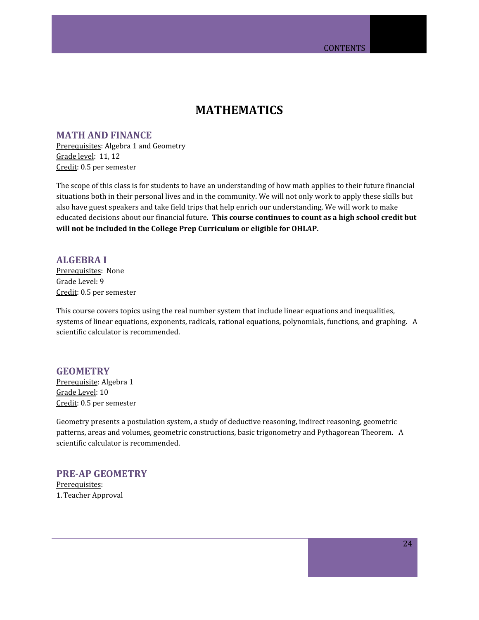# **MATHEMATICS**

# <span id="page-23-1"></span><span id="page-23-0"></span>**MATH AND FINANCE**

Prerequisites: Algebra 1 and Geometry Grade level: 11, 12 Credit: 0.5 per semester

The scope of this class is for students to have an understanding of how math applies to their future financial situations both in their personal lives and in the community. We will not only work to apply these skills but also have guest speakers and take field trips that help enrich our understanding. We will work to make educated decisions about our financial future. **This course continues to count as a high school credit but will not be included in the College Prep Curriculum or eligible for OHLAP.**

### <span id="page-23-2"></span>**ALGEBRA I**

Prerequisites: None Grade Level: 9 Credit: 0.5 per semester

This course covers topics using the real number system that include linear equations and inequalities, systems of linear equations, exponents, radicals, rational equations, polynomials, functions, and graphing. A scientific calculator is recommended.

# <span id="page-23-3"></span>**GEOMETRY**

Prerequisite: Algebra 1 Grade Level: 10 Credit: 0.5 per semester

Geometry presents a postulation system, a study of deductive reasoning, indirect reasoning, geometric patterns, areas and volumes, geometric constructions, basic trigonometry and Pythagorean Theorem. A scientific calculator is recommended.

# <span id="page-23-4"></span>**PRE-AP GEOMETRY**

Prerequisites: 1.Teacher Approval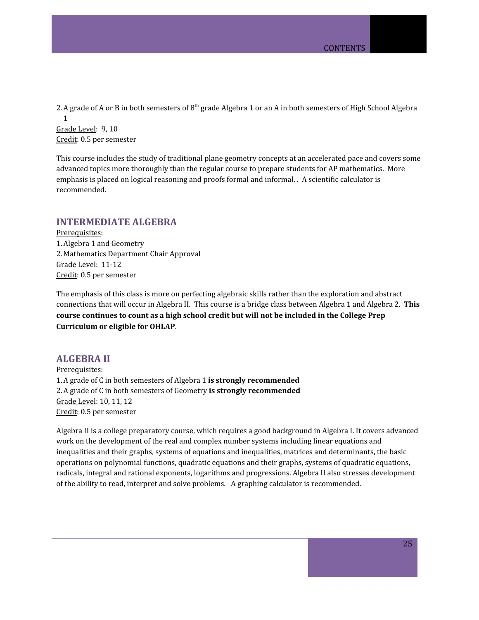2. A grade of A or B in both semesters of  $8<sup>th</sup>$  grade Algebra 1 or an A in both semesters of High School Algebra 1 Grade Level: 9, 10

Credit: 0.5 per semester

This course includes the study of traditional plane geometry concepts at an accelerated pace and covers some advanced topics more thoroughly than the regular course to prepare students for AP mathematics. More emphasis is placed on logical reasoning and proofs formal and informal. . A scientific calculator is recommended.

### <span id="page-24-0"></span>**INTERMEDIATE ALGEBRA**

Prerequisites: 1.Algebra 1 and Geometry 2. Mathematics Department Chair Approval Grade Level: 11-12 Credit: 0.5 per semester

The emphasis of this class is more on perfecting algebraic skills rather than the exploration and abstract connections that will occur in Algebra II. This course is a bridge class between Algebra 1 and Algebra 2. **This course continues to count as a high school credit but will not be included in the College Prep Curriculum or eligible for OHLAP**.

## <span id="page-24-1"></span>**ALGEBRA II**

Prerequisites: 1.A grade of C in both semesters of Algebra 1 **is strongly recommended** 2.A grade of C in both semesters of Geometry **is strongly recommended** Grade Level: 10, 11, 12 Credit: 0.5 per semester

Algebra II is a college preparatory course, which requires a good background in Algebra I. It covers advanced work on the development of the real and complex number systems including linear equations and inequalities and their graphs, systems of equations and inequalities, matrices and determinants, the basic operations on polynomial functions, quadratic equations and their graphs, systems of quadratic equations, radicals, integral and rational exponents, logarithms and progressions. Algebra II also stresses development of the ability to read, interpret and solve problems. A graphing calculator is recommended.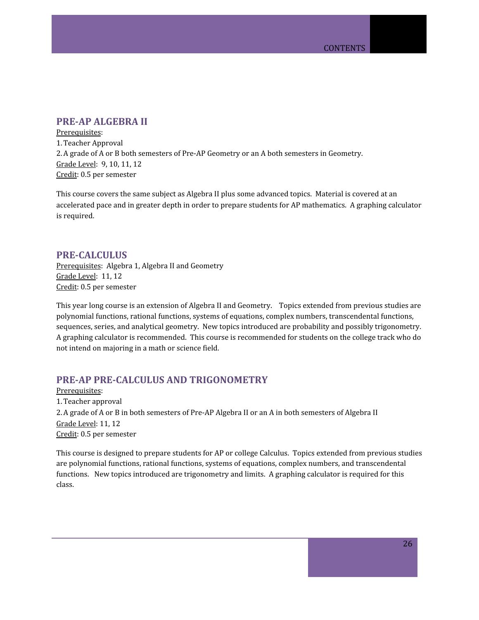# <span id="page-25-0"></span>**PRE-AP ALGEBRA II**

Prerequisites: 1.Teacher Approval 2.A grade of A or B both semesters of Pre-AP Geometry or an A both semesters in Geometry. Grade Level: 9, 10, 11, 12 Credit: 0.5 per semester

This course covers the same subject as Algebra II plus some advanced topics. Material is covered at an accelerated pace and in greater depth in order to prepare students for AP mathematics. A graphing calculator is required.

## <span id="page-25-1"></span>**PRE-CALCULUS**

Prerequisites: Algebra 1, Algebra II and Geometry Grade Level: 11, 12 Credit: 0.5 per semester

This year long course is an extension of Algebra II and Geometry. Topics extended from previous studies are polynomial functions, rational functions, systems of equations, complex numbers, transcendental functions, sequences, series, and analytical geometry. New topics introduced are probability and possibly trigonometry. A graphing calculator is recommended. This course is recommended for students on the college track who do not intend on majoring in a math or science field.

# <span id="page-25-2"></span>**PRE-AP PRE-CALCULUS AND TRIGONOMETRY**

Prerequisites: 1.Teacher approval 2.A grade of A or B in both semesters of Pre-AP Algebra II or an A in both semesters of Algebra II Grade Level: 11, 12 Credit: 0.5 per semester

This course is designed to prepare students for AP or college Calculus. Topics extended from previous studies are polynomial functions, rational functions, systems of equations, complex numbers, and transcendental functions. New topics introduced are trigonometry and limits. A graphing calculator is required for this class.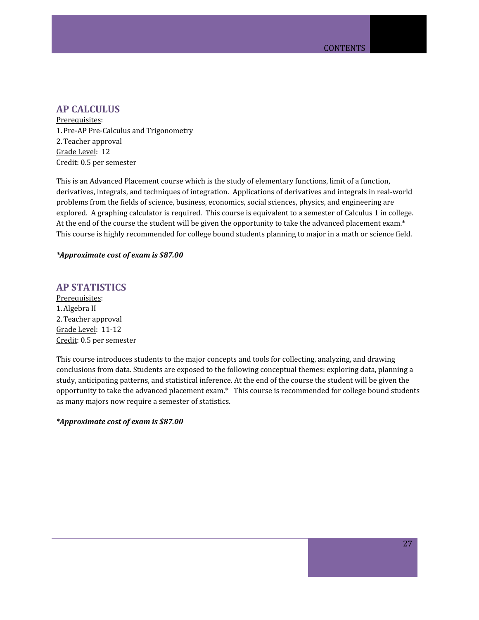# <span id="page-26-0"></span>**AP CALCULUS**

Prerequisites: 1.Pre-AP Pre-Calculus and Trigonometry 2.Teacher approval Grade Level: 12 Credit: 0.5 per semester

This is an Advanced Placement course which is the study of elementary functions, limit of a function, derivatives, integrals, and techniques of integration. Applications of derivatives and integrals in real-world problems from the fields of science, business, economics, social sciences, physics, and engineering are explored. A graphing calculator is required. This course is equivalent to a semester of Calculus 1 in college. At the end of the course the student will be given the opportunity to take the advanced placement exam.\* This course is highly recommended for college bound students planning to major in a math or science field.

#### *\*Approximate cost of exam is \$87.00*

# <span id="page-26-1"></span>**AP STATISTICS**

Prerequisites: 1.Algebra II 2.Teacher approval Grade Level: 11-12 Credit: 0.5 per semester

This course introduces students to the major concepts and tools for collecting, analyzing, and drawing conclusions from data. Students are exposed to the following conceptual themes: exploring data, planning a study, anticipating patterns, and statistical inference. At the end of the course the student will be given the opportunity to take the advanced placement exam.\* This course is recommended for college bound students as many majors now require a semester of statistics.

### *\*Approximate cost of exam is \$87.00*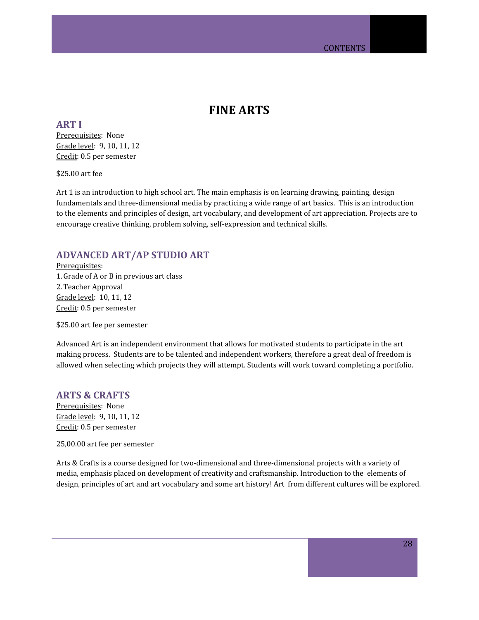# **FINE ARTS**

<span id="page-27-1"></span><span id="page-27-0"></span>**ART I** Prerequisites: None Grade level: 9, 10, 11, 12 Credit: 0.5 per semester

\$25.00 art fee

Art 1 is an introduction to high school art. The main emphasis is on learning drawing, painting, design fundamentals and three-dimensional media by practicing a wide range of art basics. This is an introduction to the elements and principles of design, art vocabulary, and development of art appreciation. Projects are to encourage creative thinking, problem solving, self-expression and technical skills.

# <span id="page-27-2"></span>**ADVANCED ART/AP STUDIO ART**

Prerequisites: 1.Grade of A or B in previous art class 2.Teacher Approval Grade level: 10, 11, 12 Credit: 0.5 per semester

\$25.00 art fee per semester

Advanced Art is an independent environment that allows for motivated students to participate in the art making process. Students are to be talented and independent workers, therefore a great deal of freedom is allowed when selecting which projects they will attempt. Students will work toward completing a portfolio.

### <span id="page-27-3"></span>**ARTS & CRAFTS**

Prerequisites: None Grade level: 9, 10, 11, 12 Credit: 0.5 per semester

25,00.00 art fee per semester

Arts & Crafts is a course designed for two-dimensional and three-dimensional projects with a variety of media, emphasis placed on development of creativity and craftsmanship. Introduction to the elements of design, principles of art and art vocabulary and some art history! Art from different cultures will be explored.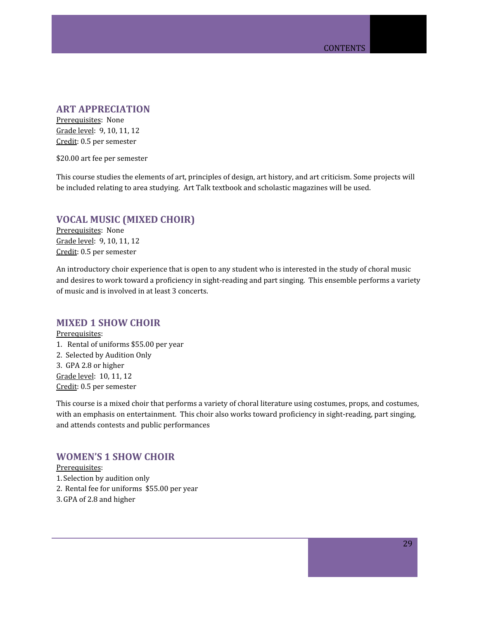# <span id="page-28-0"></span>**ART APPRECIATION**

Prerequisites: None Grade level: 9, 10, 11, 12 Credit: 0.5 per semester

\$20.00 art fee per semester

This course studies the elements of art, principles of design, art history, and art criticism. Some projects will be included relating to area studying. Art Talk textbook and scholastic magazines will be used.

# <span id="page-28-1"></span>**VOCAL MUSIC (MIXED CHOIR)**

Prerequisites: None Grade level: 9, 10, 11, 12 Credit: 0.5 per semester

An introductory choir experience that is open to any student who is interested in the study of choral music and desires to work toward a proficiency in sight-reading and part singing. This ensemble performs a variety of music and is involved in at least 3 concerts.

### <span id="page-28-2"></span>**MIXED 1 SHOW CHOIR**

Prerequisites: 1. Rental of uniforms \$55.00 per year 2. Selected by Audition Only 3. GPA 2.8 or higher Grade level: 10, 11, 12 Credit: 0.5 per semester

This course is a mixed choir that performs a variety of choral literature using costumes, props, and costumes, with an emphasis on entertainment. This choir also works toward proficiency in sight-reading, part singing, and attends contests and public performances

## <span id="page-28-3"></span>**WOMEN'S 1 SHOW CHOIR**

Prerequisites: 1. Selection by audition only 2. Rental fee for uniforms \$55.00 per year 3.GPA of 2.8 and higher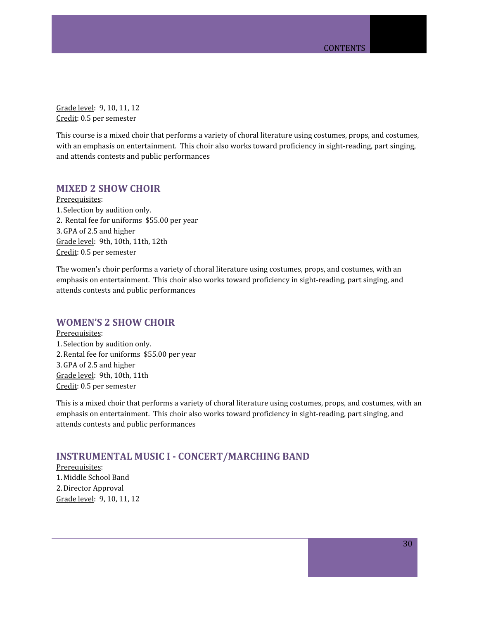Grade level: 9, 10, 11, 12 Credit: 0.5 per semester

This course is a mixed choir that performs a variety of choral literature using costumes, props, and costumes, with an emphasis on entertainment. This choir also works toward proficiency in sight-reading, part singing, and attends contests and public performances

# <span id="page-29-0"></span>**MIXED 2 SHOW CHOIR**

Prerequisites: 1. Selection by audition only. 2. Rental fee for uniforms \$55.00 per year 3.GPA of 2.5 and higher Grade level: 9th, 10th, 11th, 12th Credit: 0.5 per semester

The women's choir performs a variety of choral literature using costumes, props, and costumes, with an emphasis on entertainment. This choir also works toward proficiency in sight-reading, part singing, and attends contests and public performances

# <span id="page-29-1"></span>**WOMEN'S 2 SHOW CHOIR**

Prerequisites: 1. Selection by audition only. 2.Rental fee for uniforms \$55.00 per year 3.GPA of 2.5 and higher Grade level: 9th, 10th, 11th Credit: 0.5 per semester

This is a mixed choir that performs a variety of choral literature using costumes, props, and costumes, with an emphasis on entertainment. This choir also works toward proficiency in sight-reading, part singing, and attends contests and public performances

## <span id="page-29-2"></span>**INSTRUMENTAL MUSIC I - CONCERT/MARCHING BAND**

Prerequisites: 1. Middle School Band 2.Director Approval Grade level: 9, 10, 11, 12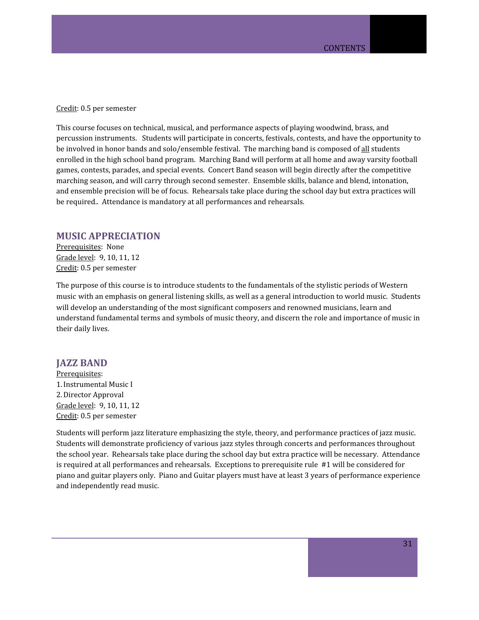Credit: 0.5 per semester

This course focuses on technical, musical, and performance aspects of playing woodwind, brass, and percussion instruments. Students will participate in concerts, festivals, contests, and have the opportunity to be involved in honor bands and solo/ensemble festival. The marching band is composed of all students enrolled in the high school band program. Marching Band will perform at all home and away varsity football games, contests, parades, and special events. Concert Band season will begin directly after the competitive marching season, and will carry through second semester. Ensemble skills, balance and blend, intonation, and ensemble precision will be of focus. Rehearsals take place during the school day but extra practices will be required.. Attendance is mandatory at all performances and rehearsals.

### <span id="page-30-0"></span>**MUSIC APPRECIATION**

Prerequisites: None Grade level: 9, 10, 11, 12 Credit: 0.5 per semester

The purpose of this course is to introduce students to the fundamentals of the stylistic periods of Western music with an emphasis on general listening skills, as well as a general introduction to world music. Students will develop an understanding of the most significant composers and renowned musicians, learn and understand fundamental terms and symbols of music theory, and discern the role and importance of music in their daily lives.

#### <span id="page-30-1"></span>**JAZZ BAND**

Prerequisites: 1.Instrumental Music I 2.Director Approval Grade level: 9, 10, 11, 12 Credit: 0.5 per semester

Students will perform jazz literature emphasizing the style, theory, and performance practices of jazz music. Students will demonstrate proficiency of various jazz styles through concerts and performances throughout the school year. Rehearsals take place during the school day but extra practice will be necessary. Attendance is required at all performances and rehearsals. Exceptions to prerequisite rule #1 will be considered for piano and guitar players only. Piano and Guitar players must have at least 3 years of performance experience and independently read music.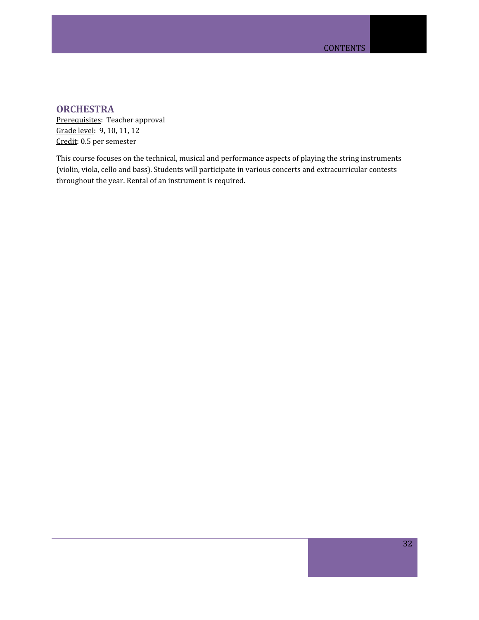# <span id="page-31-0"></span>**ORCHESTRA**

Prerequisites: Teacher approval Grade level: 9, 10, 11, 12 Credit: 0.5 per semester

This course focuses on the technical, musical and performance aspects of playing the string instruments (violin, viola, cello and bass). Students will participate in various concerts and extracurricular contests throughout the year. Rental of an instrument is required.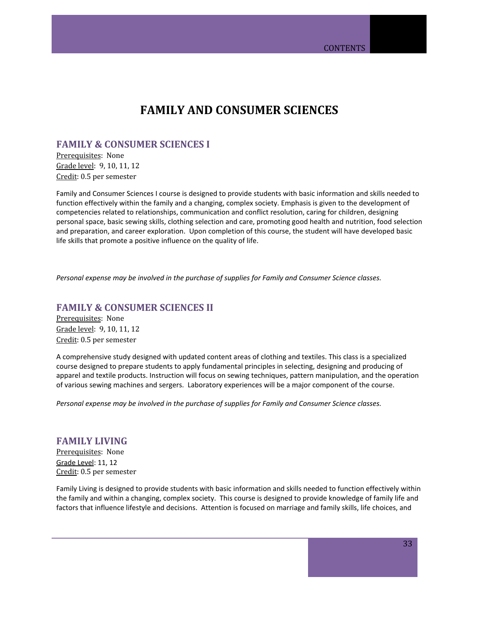# **FAMILY AND CONSUMER SCIENCES**

# <span id="page-32-1"></span><span id="page-32-0"></span>**FAMILY & CONSUMER SCIENCES I**

Prerequisites: None Grade level: 9, 10, 11, 12 Credit: 0.5 per semester

Family and Consumer Sciences I course is designed to provide students with basic information and skills needed to function effectively within the family and a changing, complex society. Emphasis is given to the development of competencies related to relationships, communication and conflict resolution, caring for children, designing personal space, basic sewing skills, clothing selection and care, promoting good health and nutrition, food selection and preparation, and career exploration. Upon completion of this course, the student will have developed basic life skills that promote a positive influence on the quality of life.

*Personal expense may be involved in the purchase of supplies for Family and Consumer Science classes.*

## <span id="page-32-2"></span>**FAMILY & CONSUMER SCIENCES II**

Prerequisites: None Grade level: 9, 10, 11, 12 Credit: 0.5 per semester

A comprehensive study designed with updated content areas of clothing and textiles. This class is a specialized course designed to prepare students to apply fundamental principles in selecting, designing and producing of apparel and textile products. Instruction will focus on sewing techniques, pattern manipulation, and the operation of various sewing machines and sergers. Laboratory experiences will be a major component of the course.

*Personal expense may be involved in the purchase of supplies for Family and Consumer Science classes.*

# <span id="page-32-3"></span>**FAMILY LIVING**

Prerequisites: None Grade Level: 11, 12 Credit: 0.5 per semester

Family Living is designed to provide students with basic information and skills needed to function effectively within the family and within a changing, complex society. This course is designed to provide knowledge of family life and factors that influence lifestyle and decisions. Attention is focused on marriage and family skills, life choices, and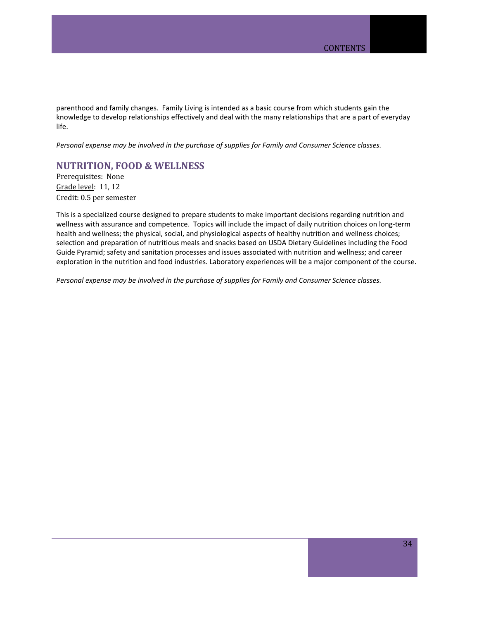parenthood and family changes. Family Living is intended as a basic course from which students gain the knowledge to develop relationships effectively and deal with the many relationships that are a part of everyday life.

*Personal expense may be involved in the purchase of supplies for Family and Consumer Science classes.*

### <span id="page-33-0"></span>**[NUTRITION,](http://ctyou.org/course/view.php?id=532) FOOD & WELLNESS**

Prerequisites: None Grade level: 11, 12 Credit: 0.5 per semester

This is a specialized course designed to prepare students to make important decisions regarding nutrition and wellness with assurance and competence. Topics will include the impact of daily nutrition choices on long-term health and wellness; the physical, social, and physiological aspects of healthy nutrition and wellness choices; selection and preparation of nutritious meals and snacks based on USDA Dietary Guidelines including the Food Guide Pyramid; safety and sanitation processes and issues associated with nutrition and wellness; and career exploration in the nutrition and food industries. Laboratory experiences will be a major component of the course.

*Personal expense may be involved in the purchase of supplies for Family and Consumer Science classes.*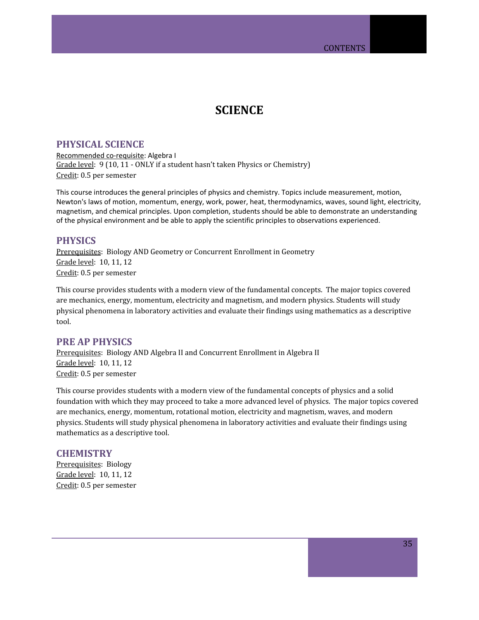# **SCIENCE**

### <span id="page-34-1"></span><span id="page-34-0"></span>**PHYSICAL SCIENCE**

Recommended co-requisite: Algebra I Grade level: 9 (10, 11 - ONLY if a student hasn't taken Physics or Chemistry) Credit: 0.5 per semester

This course introduces the general principles of physics and chemistry. Topics include measurement, motion, Newton's laws of motion, momentum, energy, work, power, heat, thermodynamics, waves, sound light, electricity, magnetism, and chemical principles. Upon completion, students should be able to demonstrate an understanding of the physical environment and be able to apply the scientific principles to observations experienced.

### <span id="page-34-2"></span>**PHYSICS**

Prerequisites: Biology AND Geometry or Concurrent Enrollment in Geometry Grade level: 10, 11, 12 Credit: 0.5 per semester

This course provides students with a modern view of the fundamental concepts. The major topics covered are mechanics, energy, momentum, electricity and magnetism, and modern physics. Students will study physical phenomena in laboratory activities and evaluate their findings using mathematics as a descriptive tool.

# <span id="page-34-3"></span>**PRE AP PHYSICS**

Prerequisites: Biology AND Algebra II and Concurrent Enrollment in Algebra II Grade level: 10, 11, 12 Credit: 0.5 per semester

This course provides students with a modern view of the fundamental concepts of physics and a solid foundation with which they may proceed to take a more advanced level of physics. The major topics covered are mechanics, energy, momentum, rotational motion, electricity and magnetism, waves, and modern physics. Students will study physical phenomena in laboratory activities and evaluate their findings using mathematics as a descriptive tool.

### <span id="page-34-4"></span>**CHEMISTRY**

Prerequisites: Biology Grade level: 10, 11, 12 Credit: 0.5 per semester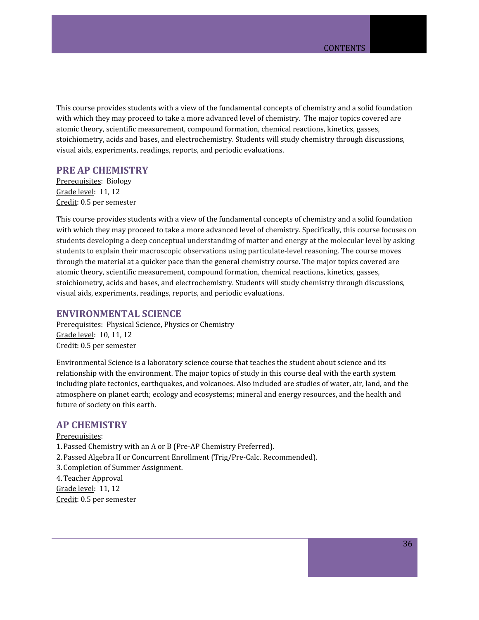This course provides students with a view of the fundamental concepts of chemistry and a solid foundation with which they may proceed to take a more advanced level of chemistry. The major topics covered are atomic theory, scientific measurement, compound formation, chemical reactions, kinetics, gasses, stoichiometry, acids and bases, and electrochemistry. Students will study chemistry through discussions, visual aids, experiments, readings, reports, and periodic evaluations.

### <span id="page-35-0"></span>**PRE AP CHEMISTRY**

Prerequisites: Biology Grade level: 11, 12 Credit: 0.5 per semester

This course provides students with a view of the fundamental concepts of chemistry and a solid foundation with which they may proceed to take a more advanced level of chemistry. Specifically, this course focuses on students developing a deep conceptual understanding of matter and energy at the molecular level by asking students to explain their macroscopic observations using particulate-level reasoning. The course moves through the material at a quicker pace than the general chemistry course. The major topics covered are atomic theory, scientific measurement, compound formation, chemical reactions, kinetics, gasses, stoichiometry, acids and bases, and electrochemistry. Students will study chemistry through discussions, visual aids, experiments, readings, reports, and periodic evaluations.

### <span id="page-35-1"></span>**ENVIRONMENTAL SCIENCE**

Prerequisites: Physical Science, Physics or Chemistry Grade level: 10, 11, 12 Credit: 0.5 per semester

Environmental Science is a laboratory science course that teaches the student about science and its relationship with the environment. The major topics of study in this course deal with the earth system including plate tectonics, earthquakes, and volcanoes. Also included are studies of water, air, land, and the atmosphere on planet earth; ecology and ecosystems; mineral and energy resources, and the health and future of society on this earth.

#### <span id="page-35-2"></span>**AP CHEMISTRY**

Prerequisites: 1.Passed Chemistry with an A or B (Pre-AP Chemistry Preferred). 2.Passed Algebra II or Concurrent Enrollment (Trig/Pre-Calc. Recommended). 3. Completion of Summer Assignment. 4.Teacher Approval Grade level: 11, 12 Credit: 0.5 per semester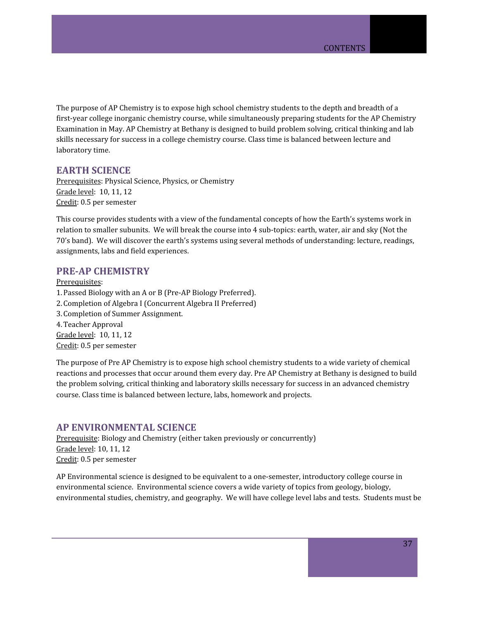The purpose of AP Chemistry is to expose high school chemistry students to the depth and breadth of a first-year college inorganic chemistry course, while simultaneously preparing students for the AP Chemistry Examination in May. AP Chemistry at Bethany is designed to build problem solving, critical thinking and lab skills necessary for success in a college chemistry course. Class time is balanced between lecture and laboratory time.

## <span id="page-36-0"></span>**EARTH SCIENCE**

Prerequisites: Physical Science, Physics, or Chemistry Grade level: 10, 11, 12 Credit: 0.5 per semester

This course provides students with a view of the fundamental concepts of how the Earth's systems work in relation to smaller subunits. We will break the course into 4 sub-topics: earth, water, air and sky (Not the 70's band). We will discover the earth's systems using several methods of understanding: lecture, readings, assignments, labs and field experiences.

### <span id="page-36-1"></span>**PRE-AP CHEMISTRY**

Prerequisites: 1.Passed Biology with an A or B (Pre-AP Biology Preferred). 2. Completion of Algebra I (Concurrent Algebra II Preferred) 3. Completion of Summer Assignment. 4.Teacher Approval Grade level: 10, 11, 12 Credit: 0.5 per semester

The purpose of Pre AP Chemistry is to expose high school chemistry students to a wide variety of chemical reactions and processes that occur around them every day. Pre AP Chemistry at Bethany is designed to build the problem solving, critical thinking and laboratory skills necessary for success in an advanced chemistry course. Class time is balanced between lecture, labs, homework and projects.

### <span id="page-36-2"></span>**AP ENVIRONMENTAL SCIENCE**

Prerequisite: Biology and Chemistry (either taken previously or concurrently) Grade level: 10, 11, 12 Credit: 0.5 per semester

AP Environmental science is designed to be equivalent to a one-semester, introductory college course in environmental science. Environmental science covers a wide variety of topics from geology, biology, environmental studies, chemistry, and geography. We will have college level labs and tests. Students must be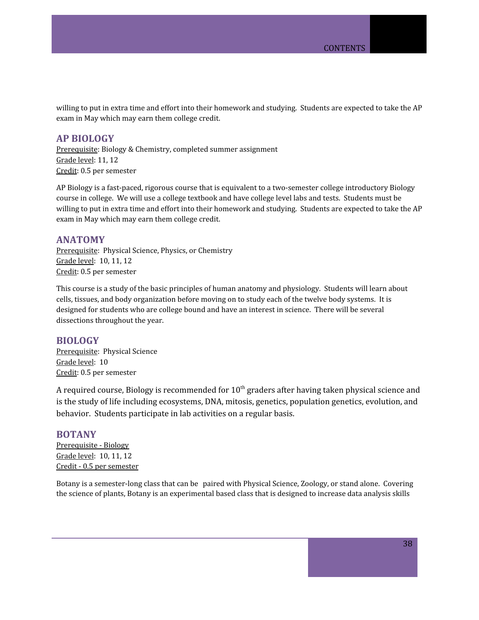willing to put in extra time and effort into their homework and studying. Students are expected to take the AP exam in May which may earn them college credit.

### <span id="page-37-0"></span>**AP BIOLOGY**

Prerequisite: Biology & Chemistry, completed summer assignment Grade level: 11, 12 Credit: 0.5 per semester

AP Biology is a fast-paced, rigorous course that is equivalent to a two-semester college introductory Biology course in college. We will use a college textbook and have college level labs and tests. Students must be willing to put in extra time and effort into their homework and studying. Students are expected to take the AP exam in May which may earn them college credit.

### <span id="page-37-1"></span>**ANATOMY**

Prerequisite: Physical Science, Physics, or Chemistry Grade level: 10, 11, 12 Credit: 0.5 per semester

This course is a study of the basic principles of human anatomy and physiology. Students will learn about cells, tissues, and body organization before moving on to study each of the twelve body systems. It is designed for students who are college bound and have an interest in science. There will be several dissections throughout the year.

### <span id="page-37-2"></span>**BIOLOGY**

Prerequisite: Physical Science Grade level: 10 Credit: 0.5 per semester

A required course, Biology is recommended for  $10^{\text{th}}$  graders after having taken physical science and is the study of life including ecosystems, DNA, mitosis, genetics, population genetics, evolution, and behavior. Students participate in lab activities on a regular basis.

### <span id="page-37-3"></span>**BOTANY**

Prerequisite - Biology Grade level: 10, 11, 12 Credit - 0.5 per semester

Botany is a semester-long class that can be paired with Physical Science, Zoology, or stand alone. Covering the science of plants, Botany is an experimental based class that is designed to increase data analysis skills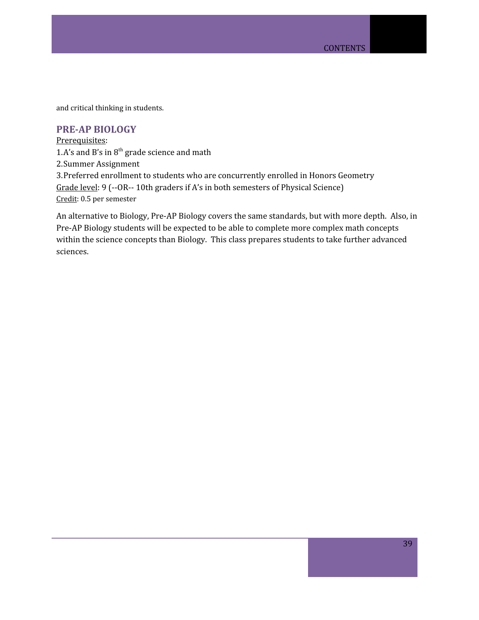and critical thinking in students.

# <span id="page-38-0"></span>**PRE-AP BIOLOGY**

Prerequisites: 1.A's and B's in  $8<sup>th</sup>$  grade science and math 2.Summer Assignment 3.Preferred enrollment to students who are concurrently enrolled in Honors Geometry Grade level: 9 (--OR-- 10th graders if A's in both semesters of Physical Science) Credit: 0.5 per semester

An alternative to Biology, Pre-AP Biology covers the same standards, but with more depth. Also, in Pre-AP Biology students will be expected to be able to complete more complex math concepts within the science concepts than Biology. This class prepares students to take further advanced sciences.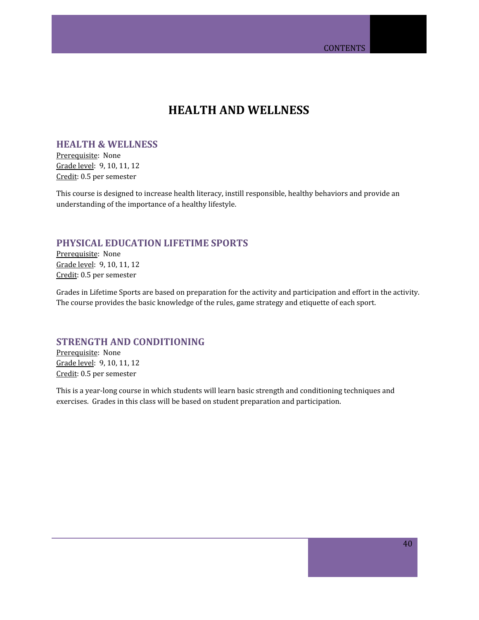# **HEALTH AND WELLNESS**

## <span id="page-39-1"></span><span id="page-39-0"></span>**HEALTH & WELLNESS**

Prerequisite: None Grade level: 9, 10, 11, 12 Credit: 0.5 per semester

This course is designed to increase health literacy, instill responsible, healthy behaviors and provide an understanding of the importance of a healthy lifestyle.

## <span id="page-39-2"></span>**PHYSICAL EDUCATION LIFETIME SPORTS**

Prerequisite: None Grade level: 9, 10, 11, 12 Credit: 0.5 per semester

Grades in Lifetime Sports are based on preparation for the activity and participation and effort in the activity. The course provides the basic knowledge of the rules, game strategy and etiquette of each sport.

### <span id="page-39-3"></span>**STRENGTH AND CONDITIONING**

Prerequisite: None Grade level: 9, 10, 11, 12 Credit: 0.5 per semester

This is a year-long course in which students will learn basic strength and conditioning techniques and exercises. Grades in this class will be based on student preparation and participation.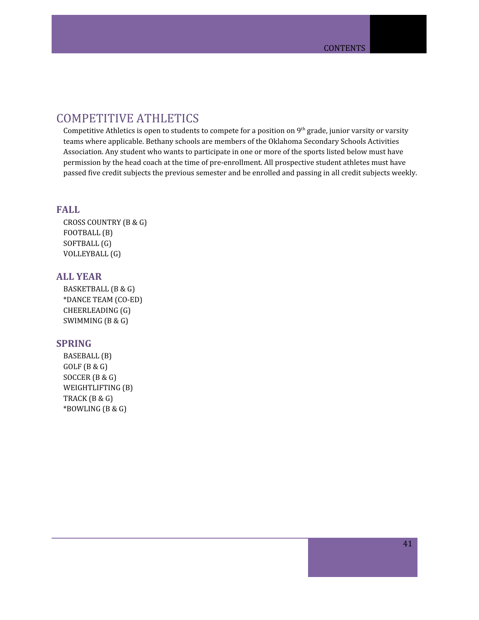# <span id="page-40-0"></span>COMPETITIVE ATHLETICS

Competitive Athletics is open to students to compete for a position on  $9^{th}$  grade, junior varsity or varsity teams where applicable. Bethany schools are members of the Oklahoma Secondary Schools Activities Association. Any student who wants to participate in one or more of the sports listed below must have permission by the head coach at the time of pre-enrollment. All prospective student athletes must have passed five credit subjects the previous semester and be enrolled and passing in all credit subjects weekly.

### **FALL**

CROSS COUNTRY (B & G) FOOTBALL (B) SOFTBALL (G) VOLLEYBALL (G)

# **ALL YEAR**

BASKETBALL (B & G) \*DANCE TEAM (CO-ED) CHEERLEADING (G) SWIMMING (B & G)

### **SPRING**

BASEBALL (B) GOLF (B & G) SOCCER (B & G) WEIGHTLIFTING (B) TRACK (B & G) \*BOWLING (B & G)

41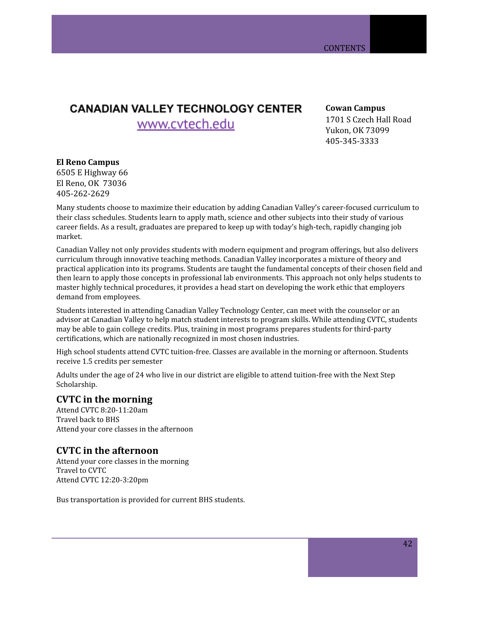# **CANADIAN VALLEY TECHNOLOGY CENTER**

www.cvtech.edu

**Cowan Campus** 1701 S Czech Hall Road Yukon, OK 73099 405-345-3333

## **El Reno Campus**

6505 E Highway 66 El Reno, OK 73036 405-262-2629

Many students choose to maximize their education by adding Canadian Valley's career-focused curriculum to their class schedules. Students learn to apply math, science and other subjects into their study of various career fields. As a result, graduates are prepared to keep up with today's high-tech, rapidly changing job market.

Canadian Valley not only provides students with modern equipment and program offerings, but also delivers curriculum through innovative teaching methods. Canadian Valley incorporates a mixture of theory and practical application into its programs. Students are taught the fundamental concepts of their chosen field and then learn to apply those concepts in professional lab environments. This approach not only helps students to master highly technical procedures, it provides a head start on developing the work ethic that employers demand from employees.

Students interested in attending Canadian Valley Technology Center, can meet with the counselor or an advisor at Canadian Valley to help match student interests to program skills. While attending CVTC, students may be able to gain college credits. Plus, training in most programs prepares students for third-party certifications, which are nationally recognized in most chosen industries.

High school students attend CVTC tuition-free. Classes are available in the morning or afternoon. Students receive 1.5 credits per semester

Adults under the age of 24 who live in our district are eligible to attend tuition-free with the Next Step Scholarship.

# **CVTC in the morning**

Attend CVTC 8:20-11:20am Travel back to BHS Attend your core classes in the afternoon

# **CVTC in the afternoon**

Attend your core classes in the morning Travel to CVTC Attend CVTC 12:20-3:20pm

Bus transportation is provided for current BHS students.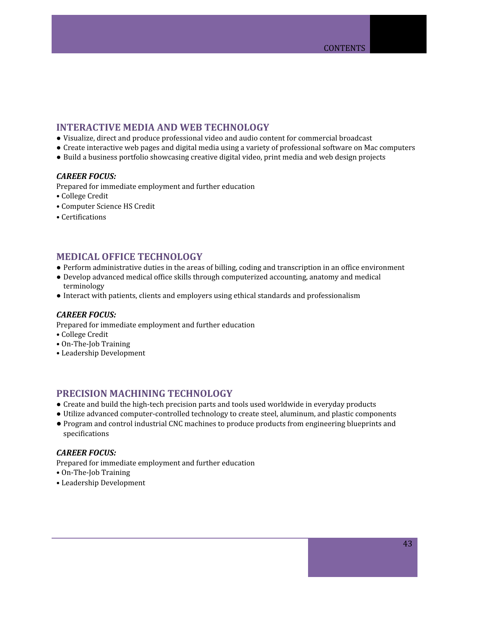# <span id="page-42-0"></span>**INTERACTIVE MEDIA AND WEB TECHNOLOGY**

- **●** Visualize, direct and produce professional video and audio content for commercial broadcast
- **●** Create interactive web pages and digital media using a variety of professional software on Mac computers
- **●** Build a business portfolio showcasing creative digital video, print media and web design projects

### *CAREER FOCUS:*

Prepared for immediate employment and further education

- College Credit
- Computer Science HS Credit
- Certifications

# <span id="page-42-1"></span>**MEDICAL OFFICE TECHNOLOGY**

- **●** Perform administrative duties in the areas of billing, coding and transcription in an office environment
- **●** Develop advanced medical office skills through computerized accounting, anatomy and medical terminology
- **●** Interact with patients, clients and employers using ethical standards and professionalism

### *CAREER FOCUS:*

Prepared for immediate employment and further education

- College Credit
- On-The-Job Training
- Leadership Development

# <span id="page-42-2"></span>**PRECISION MACHINING TECHNOLOGY**

- **●** Create and build the high-tech precision parts and tools used worldwide in everyday products
- **●** Utilize advanced computer-controlled technology to create steel, aluminum, and plastic components
- **●** Program and control industrial CNC machines to produce products from engineering blueprints and specifications

### *CAREER FOCUS:*

Prepared for immediate employment and further education

- On-The-Job Training
- Leadership Development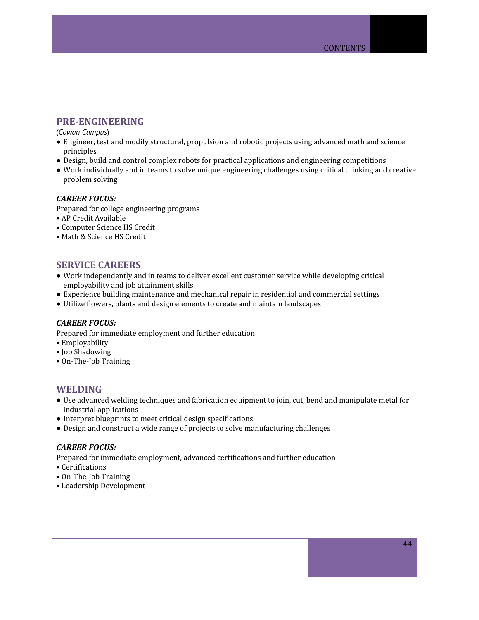# <span id="page-43-0"></span>**PRE-ENGINEERING**

(*Cowan Campus*)

- **●** Engineer, test and modify structural, propulsion and robotic projects using advanced math and science principles
- **●** Design, build and control complex robots for practical applications and engineering competitions
- Work individually and in teams to solve unique engineering challenges using critical thinking and creative problem solving

### *CAREER FOCUS:*

Prepared for college engineering programs

- AP Credit Available
- Computer Science HS Credit
- Math & Science HS Credit

## <span id="page-43-1"></span>**SERVICE CAREERS**

- Work independently and in teams to deliver excellent customer service while developing critical employability and job attainment skills
- Experience building maintenance and mechanical repair in residential and commercial settings
- Utilize flowers, plants and design elements to create and maintain landscapes

### *CAREER FOCUS:*

Prepared for immediate employment and further education

- Employability
- Job Shadowing
- On-The-Job Training

### <span id="page-43-2"></span>**WELDING**

- **●** Use advanced welding techniques and fabrication equipment to join, cut, bend and manipulate metal for industrial applications
- **●** Interpret blueprints to meet critical design specifications
- **●** Design and construct a wide range of projects to solve manufacturing challenges

### *CAREER FOCUS:*

Prepared for immediate employment, advanced certifications and further education

- Certifications
- On-The-Job Training
- Leadership Development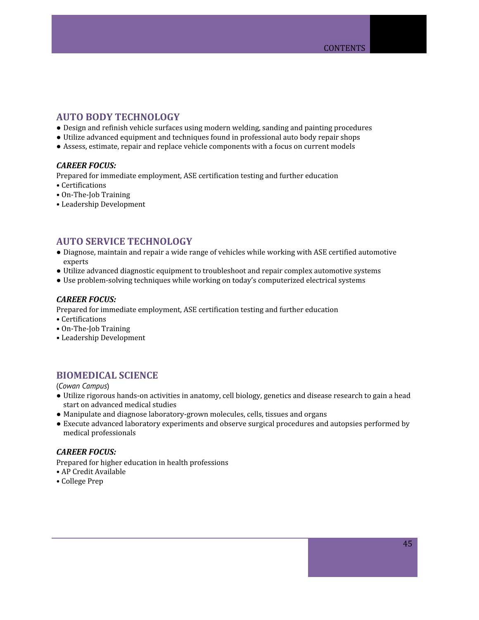# <span id="page-44-0"></span>**AUTO BODY TECHNOLOGY**

- **●** Design and refinish vehicle surfaces using modern welding, sanding and painting procedures
- **●** Utilize advanced equipment and techniques found in professional auto body repair shops
- **●** Assess, estimate, repair and replace vehicle components with a focus on current models

### *CAREER FOCUS:*

Prepared for immediate employment, ASE certification testing and further education

- Certifications
- On-The-Job Training
- Leadership Development

# <span id="page-44-1"></span>**AUTO SERVICE TECHNOLOGY**

- **●** Diagnose, maintain and repair a wide range of vehicles while working with ASE certified automotive experts
- **●** Utilize advanced diagnostic equipment to troubleshoot and repair complex automotive systems
- **●** Use problem-solving techniques while working on today's computerized electrical systems

### *CAREER FOCUS:*

- Prepared for immediate employment, ASE certification testing and further education
- Certifications
- On-The-Job Training
- Leadership Development

# <span id="page-44-2"></span>**BIOMEDICAL SCIENCE**

(*Cowan Campus*)

- **●** Utilize rigorous hands-on activities in anatomy, cell biology, genetics and disease research to gain a head start on advanced medical studies
- **●** Manipulate and diagnose laboratory-grown molecules, cells, tissues and organs
- **●** Execute advanced laboratory experiments and observe surgical procedures and autopsies performed by medical professionals

### *CAREER FOCUS:*

Prepared for higher education in health professions

- AP Credit Available
- College Prep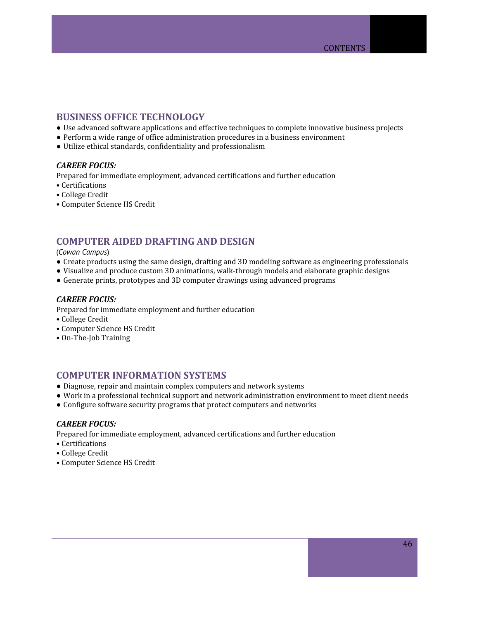# <span id="page-45-0"></span>**BUSINESS OFFICE TECHNOLOGY**

- **●** Use advanced software applications and effective techniques to complete innovative business projects
- **●** Perform a wide range of office administration procedures in a business environment
- **●** Utilize ethical standards, confidentiality and professionalism

### *CAREER FOCUS:*

Prepared for immediate employment, advanced certifications and further education

- Certifications
- College Credit
- Computer Science HS Credit

# <span id="page-45-1"></span>**COMPUTER AIDED DRAFTING AND DESIGN**

### (*Cowan Campus*)

- Create products using the same design, drafting and 3D modeling software as engineering professionals
- Visualize and produce custom 3D animations, walk-through models and elaborate graphic designs
- Generate prints, prototypes and 3D computer drawings using advanced programs

### *CAREER FOCUS:*

- Prepared for immediate employment and further education
- College Credit
- Computer Science HS Credit
- On-The-Job Training

### <span id="page-45-2"></span>**COMPUTER INFORMATION SYSTEMS**

- Diagnose, repair and maintain complex computers and network systems
- Work in a professional technical support and network administration environment to meet client needs
- Configure software security programs that protect computers and networks

### *CAREER FOCUS:*

Prepared for immediate employment, advanced certifications and further education

- Certifications
- College Credit
- Computer Science HS Credit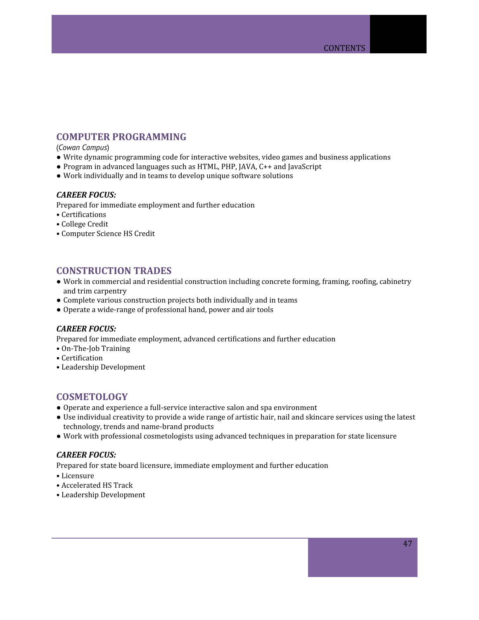# <span id="page-46-0"></span>**COMPUTER PROGRAMMING**

#### (*Cowan Campus*)

- **●** Write dynamic programming code for interactive websites, video games and business applications
- **●** Program in advanced languages such as HTML, PHP, JAVA, C++ and JavaScript
- **●** Work individually and in teams to develop unique software solutions

### *CAREER FOCUS:*

- Prepared for immediate employment and further education
- Certifications
- College Credit
- Computer Science HS Credit

## <span id="page-46-1"></span>**CONSTRUCTION TRADES**

- **●** Work in commercial and residential construction including concrete forming, framing, roofing, cabinetry and trim carpentry
- **●** Complete various construction projects both individually and in teams
- Operate a wide-range of professional hand, power and air tools

### *CAREER FOCUS:*

Prepared for immediate employment, advanced certifications and further education

- On-The-Job Training
- Certification
- Leadership Development

### <span id="page-46-2"></span>**COSMETOLOGY**

- Operate and experience a full-service interactive salon and spa environment
- Use individual creativity to provide a wide range of artistic hair, nail and skincare services using the latest technology, trends and name-brand products
- Work with professional cosmetologists using advanced techniques in preparation for state licensure

### *CAREER FOCUS:*

Prepared for state board licensure, immediate employment and further education

- Licensure
- Accelerated HS Track
- Leadership Development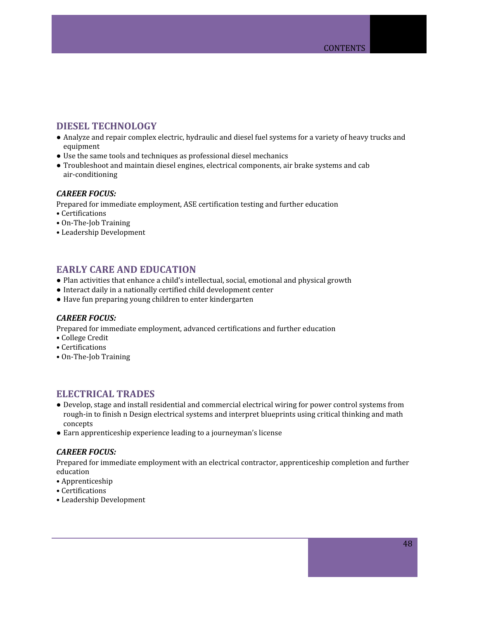# <span id="page-47-0"></span>**DIESEL TECHNOLOGY**

- **●** Analyze and repair complex electric, hydraulic and diesel fuel systems for a variety of heavy trucks and equipment
- **●** Use the same tools and techniques as professional diesel mechanics
- **●** Troubleshoot and maintain diesel engines, electrical components, air brake systems and cab air-conditioning

### *CAREER FOCUS:*

Prepared for immediate employment, ASE certification testing and further education

- Certifications
- On-The-Job Training
- Leadership Development

# <span id="page-47-1"></span>**EARLY CARE AND EDUCATION**

- **●** Plan activities that enhance a child's intellectual, social, emotional and physical growth
- **●** Interact daily in a nationally certified child development center
- **●** Have fun preparing young children to enter kindergarten

### *CAREER FOCUS:*

Prepared for immediate employment, advanced certifications and further education

- College Credit
- Certifications
- On-The-Job Training

# <span id="page-47-2"></span>**ELECTRICAL TRADES**

- Develop, stage and install residential and commercial electrical wiring for power control systems from rough-in to finish n Design electrical systems and interpret blueprints using critical thinking and math concepts
- Earn apprenticeship experience leading to a journeyman's license

### *CAREER FOCUS:*

Prepared for immediate employment with an electrical contractor, apprenticeship completion and further education

- Apprenticeship
- Certifications
- Leadership Development